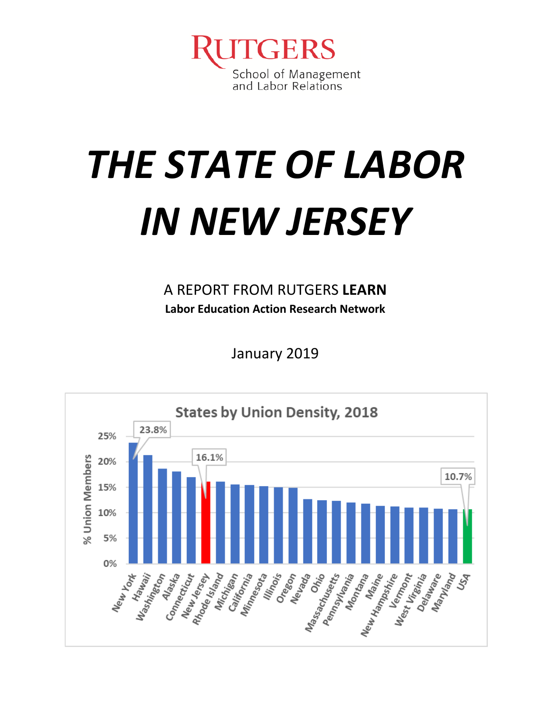

# *THE STATE OF LABOR IN NEW JERSEY*

A REPORT FROM RUTGERS **LEARN Labor Education Action Research Network**

January 2019

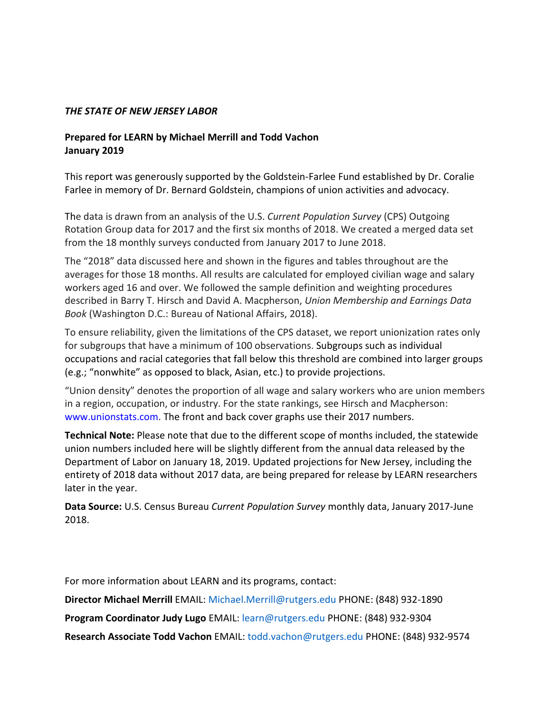#### *THE STATE OF NEW JERSEY LABOR*

#### **Prepared for LEARN by Michael Merrill and Todd Vachon January 2019**

This report was generously supported by the Goldstein-Farlee Fund established by Dr. Coralie Farlee in memory of Dr. Bernard Goldstein, champions of union activities and advocacy.

The data is drawn from an analysis of the U.S. *Current Population Survey* (CPS) Outgoing Rotation Group data for 2017 and the first six months of 2018. We created a merged data set from the 18 monthly surveys conducted from January 2017 to June 2018.

The "2018" data discussed here and shown in the figures and tables throughout are the averages for those 18 months. All results are calculated for employed civilian wage and salary workers aged 16 and over. We followed the sample definition and weighting procedures described in Barry T. Hirsch and David A. Macpherson, *Union Membership and Earnings Data Book* (Washington D.C.: Bureau of National Affairs, 2018).

To ensure reliability, given the limitations of the CPS dataset, we report unionization rates only for subgroups that have a minimum of 100 observations. Subgroups such as individual occupations and racial categories that fall below this threshold are combined into larger groups (e.g.; "nonwhite" as opposed to black, Asian, etc.) to provide projections.

"Union density" denotes the proportion of all wage and salary workers who are union members in a region, occupation, or industry. For the state rankings, see Hirsch and Macpherson: www.unionstats.com. The front and back cover graphs use their 2017 numbers.

**Technical Note:** Please note that due to the different scope of months included, the statewide union numbers included here will be slightly different from the annual data released by the Department of Labor on January 18, 2019. Updated projections for New Jersey, including the entirety of 2018 data without 2017 data, are being prepared for release by LEARN researchers later in the year.

**Data Source:** U.S. Census Bureau *Current Population Survey* monthly data, January 2017-June 2018.

For more information about LEARN and its programs, contact:

**Director Michael Merrill** EMAIL: Michael.Merrill@rutgers.edu PHONE: (848) 932-1890

**Program Coordinator Judy Lugo** EMAIL: learn@rutgers.edu PHONE: (848) 932-9304

**Research Associate Todd Vachon** EMAIL: todd.vachon@rutgers.edu PHONE: (848) 932-9574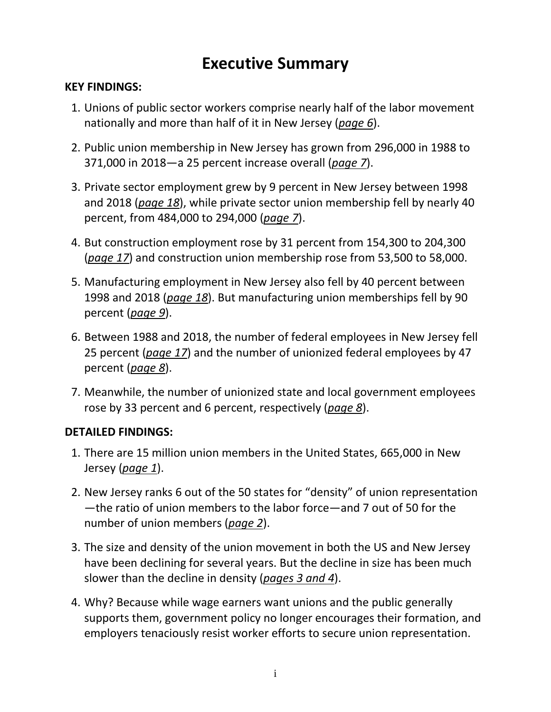#### **Executive Summary**

#### **KEY FINDINGS:**

- 1. Unions of public sector workers comprise nearly half of the labor movement nationally and more than half of it in New Jersey (*page 6*).
- 2. Public union membership in New Jersey has grown from 296,000 in 1988 to 371,000 in 2018—a 25 percent increase overall (*page 7*).
- 3. Private sector employment grew by 9 percent in New Jersey between 1998 and 2018 (*page 18*), while private sector union membership fell by nearly 40 percent, from 484,000 to 294,000 (*page 7*).
- 4. But construction employment rose by 31 percent from 154,300 to 204,300 (*page 17*) and construction union membership rose from 53,500 to 58,000.
- 5. Manufacturing employment in New Jersey also fell by 40 percent between 1998 and 2018 (*page 18*). But manufacturing union memberships fell by 90 percent (*page 9*).
- 6. Between 1988 and 2018, the number of federal employees in New Jersey fell 25 percent (*page 17*) and the number of unionized federal employees by 47 percent (*page 8*).
- 7. Meanwhile, the number of unionized state and local government employees rose by 33 percent and 6 percent, respectively (*page 8*).

#### **DETAILED FINDINGS:**

- 1. There are 15 million union members in the United States, 665,000 in New Jersey (*page 1*).
- 2. New Jersey ranks 6 out of the 50 states for "density" of union representation —the ratio of union members to the labor force—and 7 out of 50 for the number of union members (*page 2*).
- 3. The size and density of the union movement in both the US and New Jersey have been declining for several years. But the decline in size has been much slower than the decline in density (*pages 3 and 4*).
- 4. Why? Because while wage earners want unions and the public generally supports them, government policy no longer encourages their formation, and employers tenaciously resist worker efforts to secure union representation.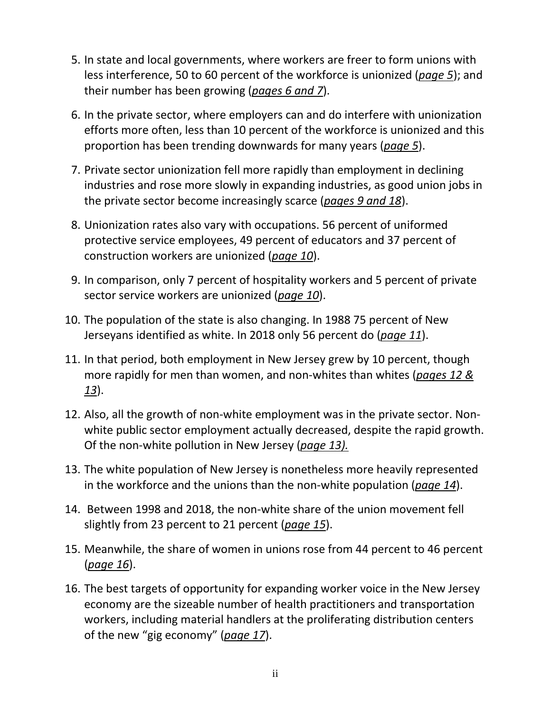- 5. In state and local governments, where workers are freer to form unions with less interference, 50 to 60 percent of the workforce is unionized (*page 5*); and their number has been growing (*pages 6 and 7*).
- 6. In the private sector, where employers can and do interfere with unionization efforts more often, less than 10 percent of the workforce is unionized and this proportion has been trending downwards for many years (*page 5*).
- 7. Private sector unionization fell more rapidly than employment in declining industries and rose more slowly in expanding industries, as good union jobs in the private sector become increasingly scarce (*pages 9 and 18*).
- 8. Unionization rates also vary with occupations. 56 percent of uniformed protective service employees, 49 percent of educators and 37 percent of construction workers are unionized (*page 10*).
- 9. In comparison, only 7 percent of hospitality workers and 5 percent of private sector service workers are unionized (*page 10*).
- 10. The population of the state is also changing. In 1988 75 percent of New Jerseyans identified as white. In 2018 only 56 percent do (*page 11*).
- 11. In that period, both employment in New Jersey grew by 10 percent, though more rapidly for men than women, and non-whites than whites (*pages 12 & 13*).
- 12. Also, all the growth of non-white employment was in the private sector. Nonwhite public sector employment actually decreased, despite the rapid growth. Of the non-white pollution in New Jersey (*page 13).*
- 13. The white population of New Jersey is nonetheless more heavily represented in the workforce and the unions than the non-white population (*page 14*).
- 14. Between 1998 and 2018, the non-white share of the union movement fell slightly from 23 percent to 21 percent (*page 15*).
- 15. Meanwhile, the share of women in unions rose from 44 percent to 46 percent (*page 16*).
- 16. The best targets of opportunity for expanding worker voice in the New Jersey economy are the sizeable number of health practitioners and transportation workers, including material handlers at the proliferating distribution centers of the new "gig economy" (*page 17*).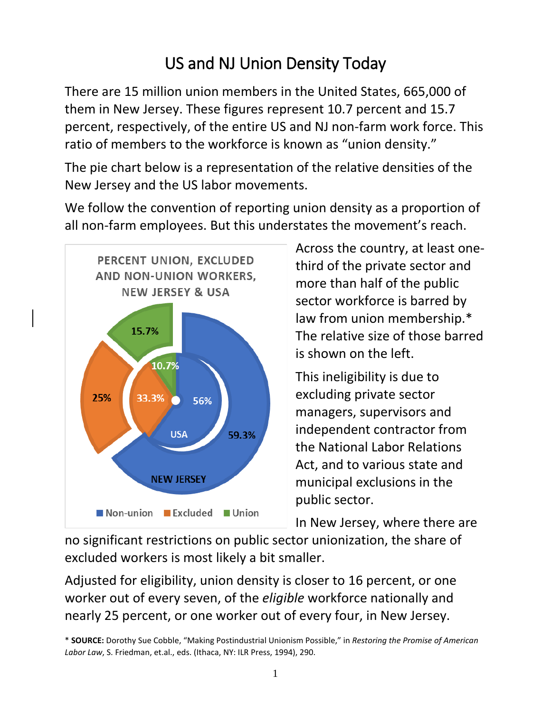# US and NJ Union Density Today

There are 15 million union members in the United States, 665,000 of them in New Jersey. These figures represent 10.7 percent and 15.7 percent, respectively, of the entire US and NJ non-farm work force. This ratio of members to the workforce is known as "union density."

The pie chart below is a representation of the relative densities of the New Jersey and the US labor movements.

We follow the convention of reporting union density as a proportion of all non-farm employees. But this understates the movement's reach.



Across the country, at least onethird of the private sector and more than half of the public sector workforce is barred by law from union membership.\* The relative size of those barred is shown on the left.

This ineligibility is due to excluding private sector managers, supervisors and independent contractor from the National Labor Relations Act, and to various state and municipal exclusions in the public sector.

In New Jersey, where there are

no significant restrictions on public sector unionization, the share of excluded workers is most likely a bit smaller.

Adjusted for eligibility, union density is closer to 16 percent, or one worker out of every seven, of the *eligible* workforce nationally and nearly 25 percent, or one worker out of every four, in New Jersey.

<sup>\*</sup> **SOURCE:** Dorothy Sue Cobble, "Making Postindustrial Unionism Possible," in *Restoring the Promise of American Labor Law*, S. Friedman, et.al., eds. (Ithaca, NY: ILR Press, 1994), 290.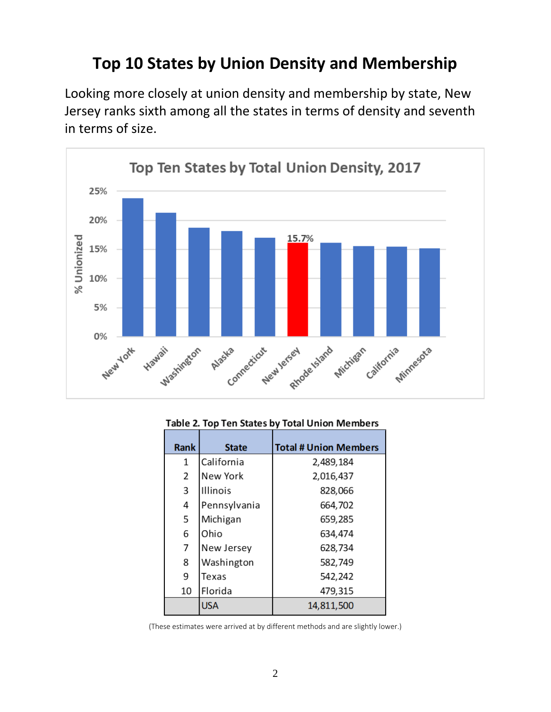#### **Top 10 States by Union Density and Membership**

Looking more closely at union density and membership by state, New Jersey ranks sixth among all the states in terms of density and seventh in terms of size.



#### Table 2. Top Ten States by Total Union Members

| <b>Rank</b> | <b>State</b>    | <b>Total # Union Members</b> |
|-------------|-----------------|------------------------------|
| 1           | California      | 2,489,184                    |
| 2           | New York        | 2,016,437                    |
| 3           | <b>Illinois</b> | 828,066                      |
| 4           | Pennsylvania    | 664,702                      |
| 5           | Michigan        | 659,285                      |
| 6           | Ohio            | 634,474                      |
| 7           | New Jersey      | 628,734                      |
| 8           | Washington      | 582,749                      |
| 9           | Texas           | 542,242                      |
| 10          | Florida         | 479,315                      |
|             | <b>USA</b>      | 14,811,500                   |

(These estimates were arrived at by different methods and are slightly lower.)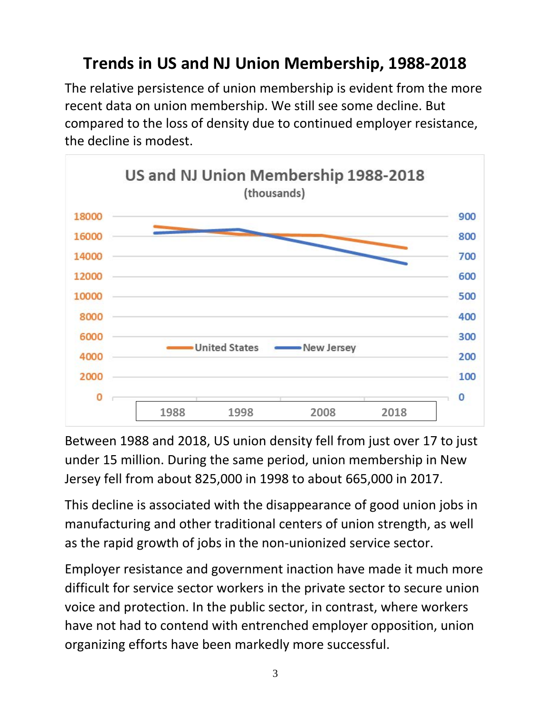## **Trends in US and NJ Union Membership, 1988-2018**

The relative persistence of union membership is evident from the more recent data on union membership. We still see some decline. But compared to the loss of density due to continued employer resistance, the decline is modest.



Between 1988 and 2018, US union density fell from just over 17 to just under 15 million. During the same period, union membership in New Jersey fell from about 825,000 in 1998 to about 665,000 in 2017.

This decline is associated with the disappearance of good union jobs in manufacturing and other traditional centers of union strength, as well as the rapid growth of jobs in the non-unionized service sector.

Employer resistance and government inaction have made it much more difficult for service sector workers in the private sector to secure union voice and protection. In the public sector, in contrast, where workers have not had to contend with entrenched employer opposition, union organizing efforts have been markedly more successful.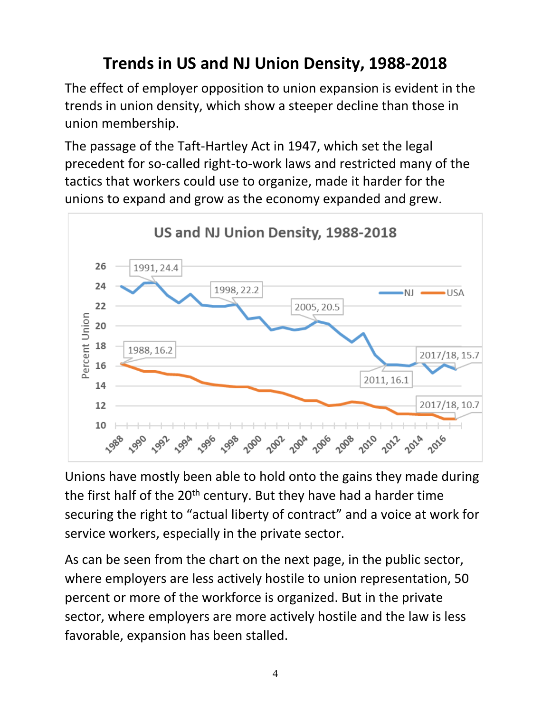# **Trends in US and NJ Union Density, 1988-2018**

The effect of employer opposition to union expansion is evident in the trends in union density, which show a steeper decline than those in union membership.

The passage of the Taft-Hartley Act in 1947, which set the legal precedent for so-called right-to-work laws and restricted many of the tactics that workers could use to organize, made it harder for the unions to expand and grow as the economy expanded and grew.



Unions have mostly been able to hold onto the gains they made during the first half of the 20<sup>th</sup> century. But they have had a harder time securing the right to "actual liberty of contract" and a voice at work for service workers, especially in the private sector.

As can be seen from the chart on the next page, in the public sector, where employers are less actively hostile to union representation, 50 percent or more of the workforce is organized. But in the private sector, where employers are more actively hostile and the law is less favorable, expansion has been stalled.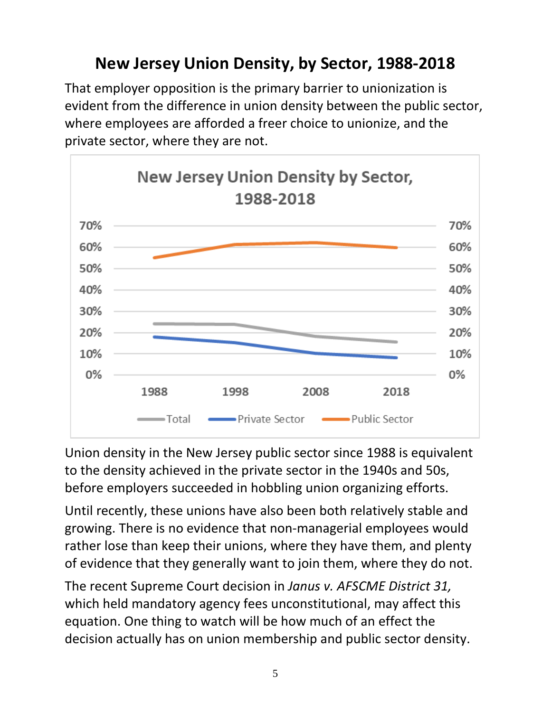#### **New Jersey Union Density, by Sector, 1988-2018**

That employer opposition is the primary barrier to unionization is evident from the difference in union density between the public sector, where employees are afforded a freer choice to unionize, and the private sector, where they are not.



Union density in the New Jersey public sector since 1988 is equivalent to the density achieved in the private sector in the 1940s and 50s, before employers succeeded in hobbling union organizing efforts.

Until recently, these unions have also been both relatively stable and growing. There is no evidence that non-managerial employees would rather lose than keep their unions, where they have them, and plenty of evidence that they generally want to join them, where they do not.

The recent Supreme Court decision in *Janus v. AFSCME District 31,* which held mandatory agency fees unconstitutional, may affect this equation. One thing to watch will be how much of an effect the decision actually has on union membership and public sector density.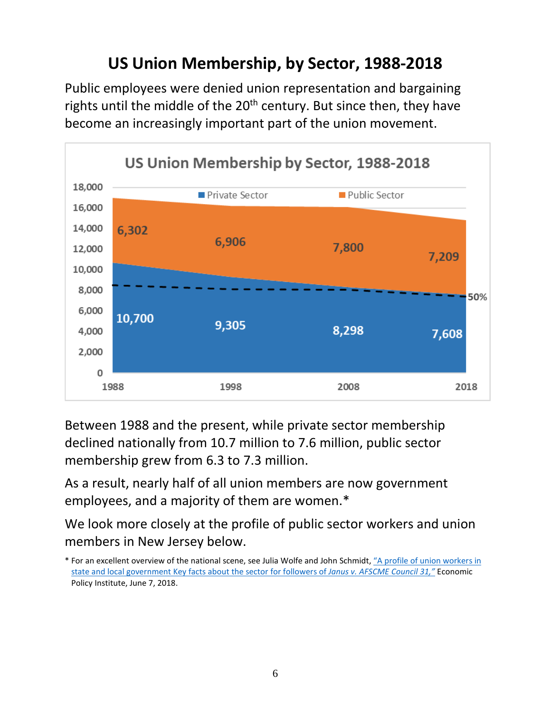#### **US Union Membership, by Sector, 1988-2018**

Public employees were denied union representation and bargaining rights until the middle of the 20<sup>th</sup> century. But since then, they have become an increasingly important part of the union movement.



Between 1988 and the present, while private sector membership declined nationally from 10.7 million to 7.6 million, public sector membership grew from 6.3 to 7.3 million.

As a result, nearly half of all union members are now government employees, and a majority of them are women.\*

We look more closely at the profile of public sector workers and union members in New Jersey below.

<sup>\*</sup> For an excellent overview of the national scene, see Julia Wolfe and John Schmidt, ["A profile of union workers in](https://www.epi.org/publication/a-profile-of-union-workers-in-state-and-local-government-key-facts-about-the-sector-for-followers-of-janus-v-afscme-council-31/)  [state and local government Key facts about the sector for followers of](https://www.epi.org/publication/a-profile-of-union-workers-in-state-and-local-government-key-facts-about-the-sector-for-followers-of-janus-v-afscme-council-31/) *Janus v. AFSCME Council 31,"* Economic Policy Institute, June 7, 2018.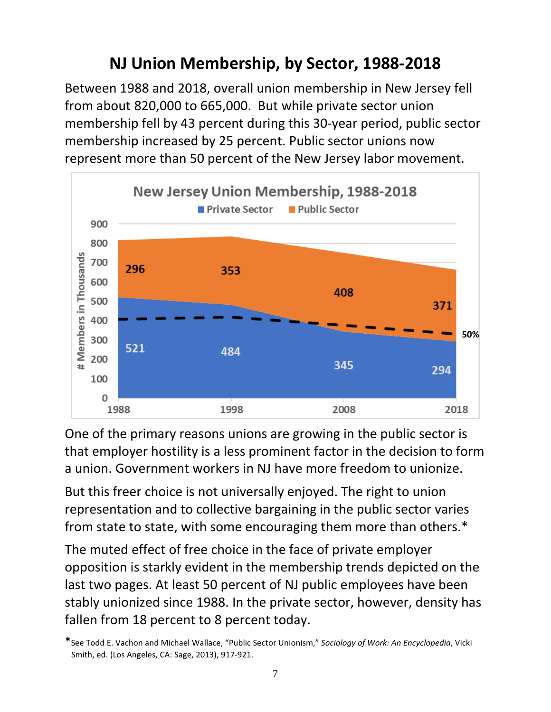## **NJ Union Membership, by Sector, 1988-2018**

Between 1988 and 2018, overall union membership in New Jersey fell from about 820,000 to 665,000. But while private sector union membership fell by 43 percent during this 30-year period, public sector membership increased by 25 percent. Public sector unions now represent more than 50 percent of the New Jersey labor movement.



One of the primary reasons unions are growing in the public sector is that employer hostility is a less prominent factor in the decision to form a union. Government workers in NJ have more freedom to unionize.

But this freer choice is not universally enjoyed. The right to union representation and to collective bargaining in the public sector varies from state to state, with some encouraging them more than others.\*

The muted effect of free choice in the face of private employer opposition is starkly evident in the membership trends depicted on the last two pages. At least 50 percent of NJ public employees have been stably unionized since 1988. In the private sector, however, density has fallen from 18 percent to 8 percent today.

<sup>\*</sup>See Todd E. Vachon and Michael Wallace, "Public Sector Unionism," *Sociology of Work: An Encyclopedia*, Vicki Smith, ed. (Los Angeles, CA: Sage, 2013), 917-921.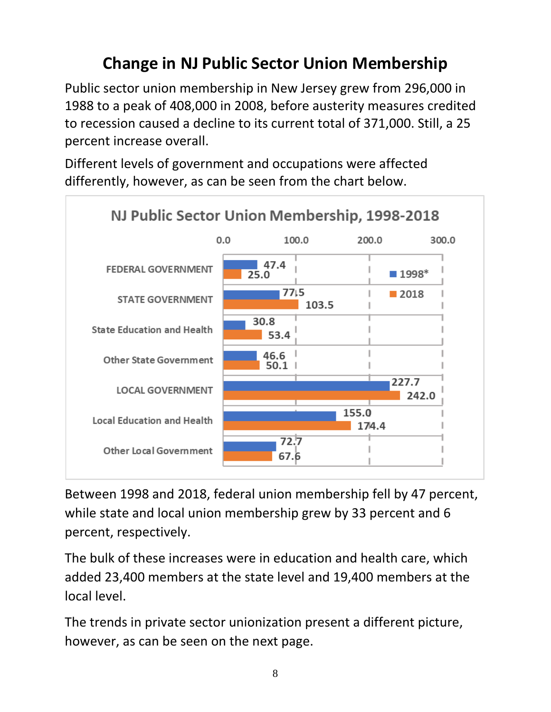# **Change in NJ Public Sector Union Membership**

Public sector union membership in New Jersey grew from 296,000 in 1988 to a peak of 408,000 in 2008, before austerity measures credited to recession caused a decline to its current total of 371,000. Still, a 25 percent increase overall.

Different levels of government and occupations were affected differently, however, as can be seen from the chart below.



Between 1998 and 2018, federal union membership fell by 47 percent, while state and local union membership grew by 33 percent and 6 percent, respectively.

The bulk of these increases were in education and health care, which added 23,400 members at the state level and 19,400 members at the local level.

The trends in private sector unionization present a different picture, however, as can be seen on the next page.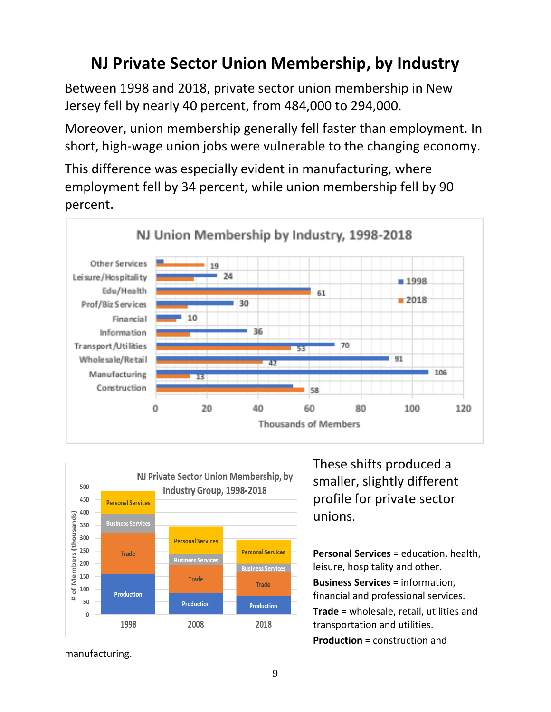#### **NJ Private Sector Union Membership, by Industry**

Between 1998 and 2018, private sector union membership in New Jersey fell by nearly 40 percent, from 484,000 to 294,000.

Moreover, union membership generally fell faster than employment. In short, high-wage union jobs were vulnerable to the changing economy.

This difference was especially evident in manufacturing, where employment fell by 34 percent, while union membership fell by 90 percent.





These shifts produced a smaller, slightly different profile for private sector unions.

**Personal Services** = education, health, leisure, hospitality and other. **Business Services** = information, financial and professional services. **Trade** = wholesale, retail, utilities and transportation and utilities. **Production** = construction and

manufacturing.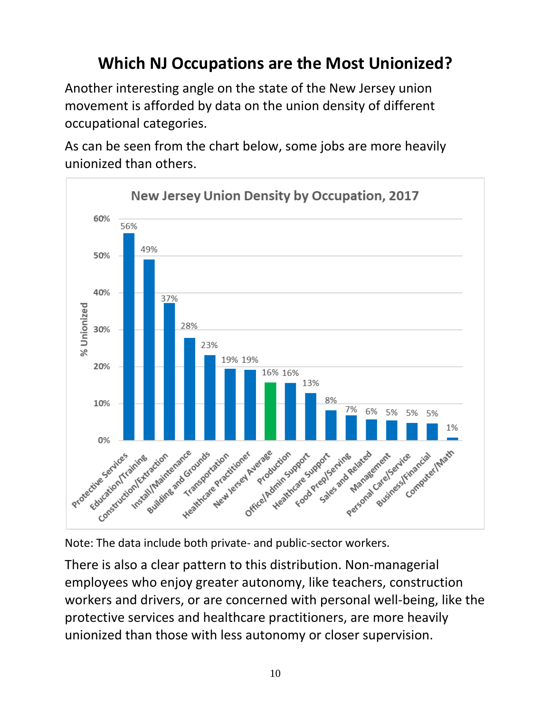# **Which NJ Occupations are the Most Unionized?**

Another interesting angle on the state of the New Jersey union movement is afforded by data on the union density of different occupational categories.

As can be seen from the chart below, some jobs are more heavily unionized than others.





There is also a clear pattern to this distribution. Non-managerial employees who enjoy greater autonomy, like teachers, construction workers and drivers, or are concerned with personal well-being, like the protective services and healthcare practitioners, are more heavily unionized than those with less autonomy or closer supervision.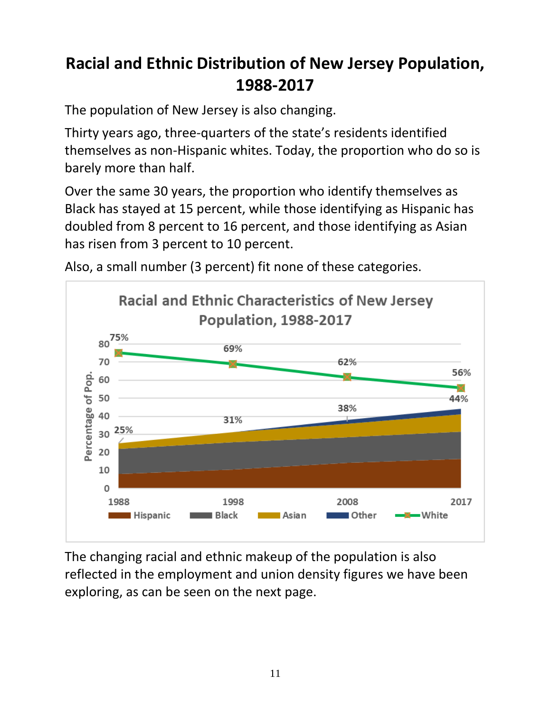## **Racial and Ethnic Distribution of New Jersey Population, 1988-2017**

The population of New Jersey is also changing.

Thirty years ago, three-quarters of the state's residents identified themselves as non-Hispanic whites. Today, the proportion who do so is barely more than half.

Over the same 30 years, the proportion who identify themselves as Black has stayed at 15 percent, while those identifying as Hispanic has doubled from 8 percent to 16 percent, and those identifying as Asian has risen from 3 percent to 10 percent.



Also, a small number (3 percent) fit none of these categories.

The changing racial and ethnic makeup of the population is also reflected in the employment and union density figures we have been exploring, as can be seen on the next page.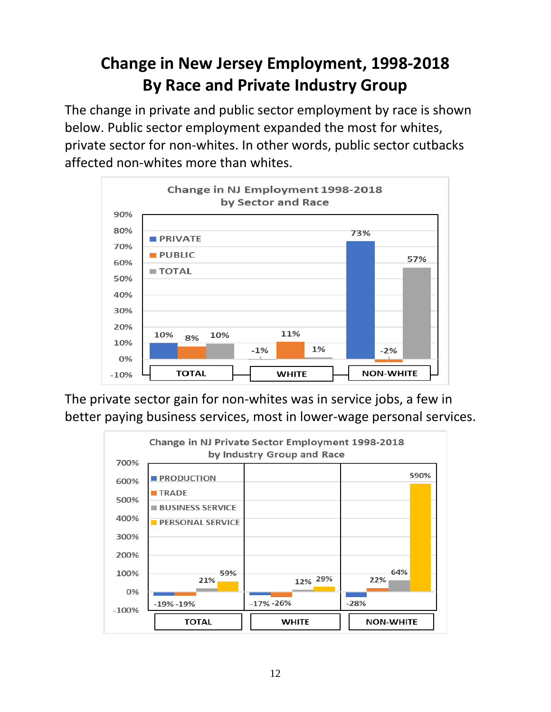## **Change in New Jersey Employment, 1998-2018 By Race and Private Industry Group**

The change in private and public sector employment by race is shown below. Public sector employment expanded the most for whites, private sector for non-whites. In other words, public sector cutbacks affected non-whites more than whites.



The private sector gain for non-whites was in service jobs, a few in better paying business services, most in lower-wage personal services.

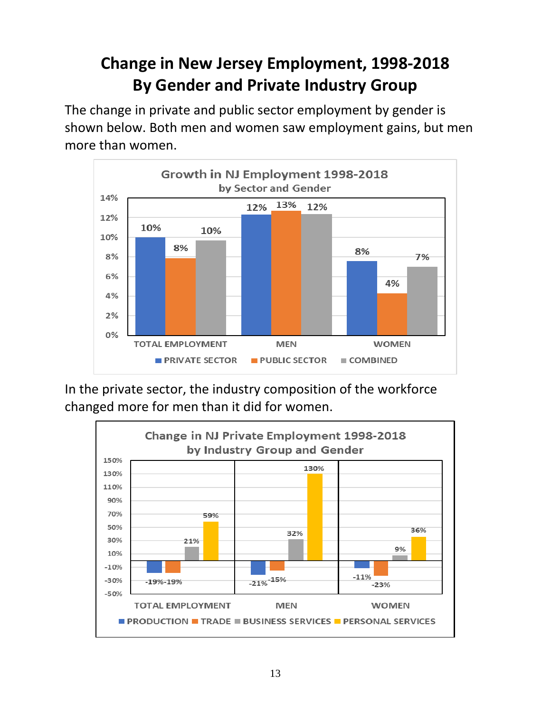## **Change in New Jersey Employment, 1998-2018 By Gender and Private Industry Group**

The change in private and public sector employment by gender is shown below. Both men and women saw employment gains, but men more than women.



In the private sector, the industry composition of the workforce changed more for men than it did for women.

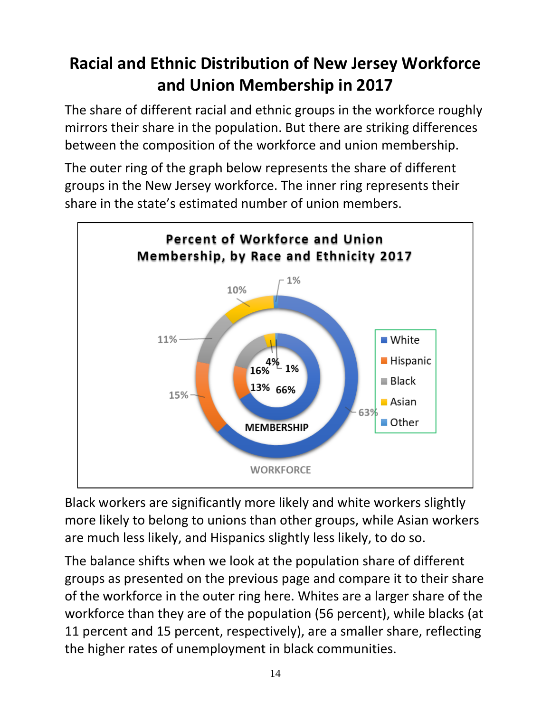## **Racial and Ethnic Distribution of New Jersey Workforce and Union Membership in 2017**

The share of different racial and ethnic groups in the workforce roughly mirrors their share in the population. But there are striking differences between the composition of the workforce and union membership.

The outer ring of the graph below represents the share of different groups in the New Jersey workforce. The inner ring represents their share in the state's estimated number of union members.



Black workers are significantly more likely and white workers slightly more likely to belong to unions than other groups, while Asian workers are much less likely, and Hispanics slightly less likely, to do so.

The balance shifts when we look at the population share of different groups as presented on the previous page and compare it to their share of the workforce in the outer ring here. Whites are a larger share of the workforce than they are of the population (56 percent), while blacks (at 11 percent and 15 percent, respectively), are a smaller share, reflecting the higher rates of unemployment in black communities.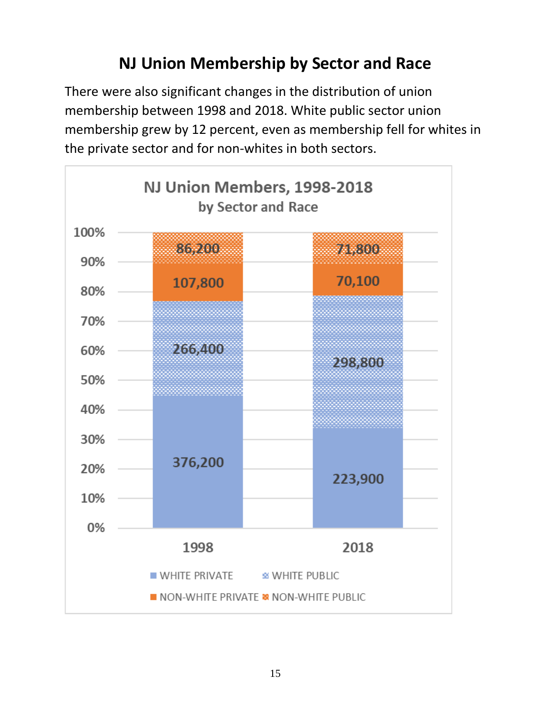#### **NJ Union Membership by Sector and Race**

There were also significant changes in the distribution of union membership between 1998 and 2018. White public sector union membership grew by 12 percent, even as membership fell for whites in the private sector and for non-whites in both sectors.

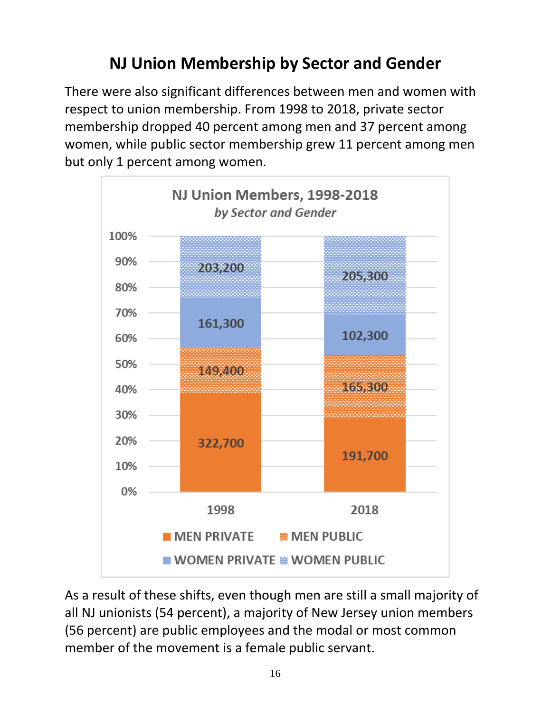# **NJ Union Membership by Sector and Gender**

There were also significant differences between men and women with respect to union membership. From 1998 to 2018, private sector membership dropped 40 percent among men and 37 percent among women, while public sector membership grew 11 percent among men but only 1 percent among women.



As a result of these shifts, even though men are still a small majority of all NJ unionists (54 percent), a majority of New Jersey union members (56 percent) are public employees and the modal or most common member of the movement is a female public servant.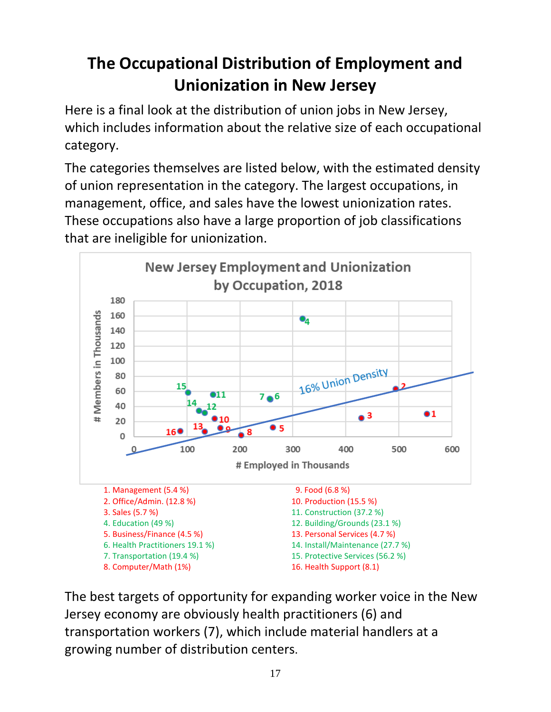# **The Occupational Distribution of Employment and Unionization in New Jersey**

Here is a final look at the distribution of union jobs in New Jersey, which includes information about the relative size of each occupational category.

The categories themselves are listed below, with the estimated density of union representation in the category. The largest occupations, in management, office, and sales have the lowest unionization rates. These occupations also have a large proportion of job classifications that are ineligible for unionization.



The best targets of opportunity for expanding worker voice in the New Jersey economy are obviously health practitioners (6) and transportation workers (7), which include material handlers at a growing number of distribution centers.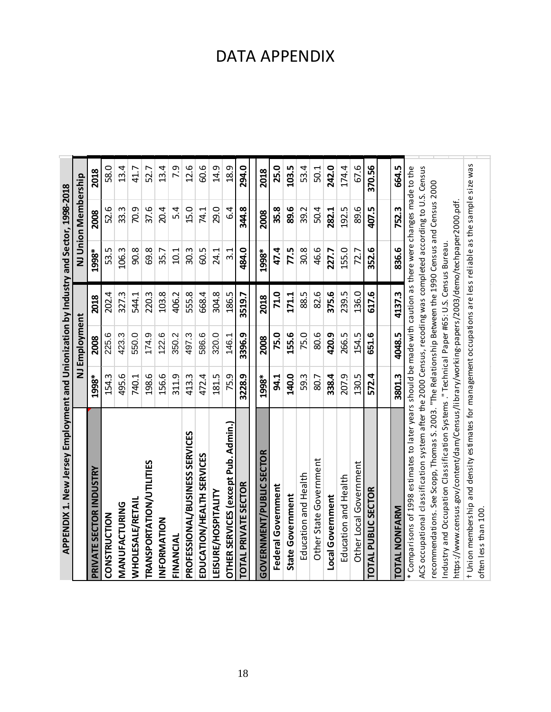| APPENDIX 1. New Jersey Employment and Unionization by Industry and Sector, 1998-2018                                                                                                                                          |             |               |        |       |                     |        |
|-------------------------------------------------------------------------------------------------------------------------------------------------------------------------------------------------------------------------------|-------------|---------------|--------|-------|---------------------|--------|
|                                                                                                                                                                                                                               |             | NJ Employment |        |       | NJ Union Membership |        |
| PRIVATE SECTOR INDUSTRY                                                                                                                                                                                                       | 1998*       | 2008          | 2018   | 1998* | 2008                | 2018   |
| CONSTRUCTION                                                                                                                                                                                                                  | 154.3       | 225.6         | 202.4  | 53.5  | 52.6                | 58.0   |
| MANUFACTURING                                                                                                                                                                                                                 | 495.6       | 423.3         | 327.3  | 106.3 | 33.3                | 13.4   |
| <b>WHOLESALE/RETAIL</b>                                                                                                                                                                                                       | 740.1       | 550.0         | 544.1  | 90.8  | 70.9                | 41.7   |
| TRANSPORTATION/UTILITIES                                                                                                                                                                                                      | 198.6       | 174.9         | 220.3  | 69.8  | 37.6                | 52.7   |
| INFORMATION                                                                                                                                                                                                                   | 156.6       | 122.6         | 103.8  | 35.7  | 20.4                | 13.4   |
| FINANCIAL                                                                                                                                                                                                                     | 311.9       | 350.2         | 406.2  | 10.1  | 5.4                 | 7.9    |
| PROFESSIONAL/BUSINESS SERVICES                                                                                                                                                                                                | 413.3       | 497.3         | 555.8  | 30.3  | 15.0                | 12.6   |
| EDUCATION/HEALTH SERVICES                                                                                                                                                                                                     | 472.4       | 586.6         | 668.4  | 60.5  | 74.1                | 60.6   |
| <b>LEISURE/HOSPITALITY</b>                                                                                                                                                                                                    | 181.5       | 320.0         | 304.8  | 24.1  | 29.0                | 14.9   |
| OTHER SERVICES (except Pub. Admin.)                                                                                                                                                                                           | 75.9        | 146.1         | 186.5  | 3.1   | 6.4                 | 18.9   |
| TOTAL PRIVATE SECTOR                                                                                                                                                                                                          | 3228.9      | 3396.9        | 3519.7 | 484.0 | 344.8               | 294.0  |
| <b>GOVERNMENT/PUBLIC SECTOR</b>                                                                                                                                                                                               | 1998*       | 2008          | 2018   | 1998* | 2008                | 2018   |
| Federal Government                                                                                                                                                                                                            | <b>94.1</b> | 75.0          | 71.0   | 47.4  | 35.8                | 25.0   |
| State Government                                                                                                                                                                                                              | 140.0       | 155.6         | 171.1  | 77.5  | 89.6                | 103.5  |
| Education and Health                                                                                                                                                                                                          | 59.3        | 75.0          | 88.5   | 30.8  | 39.2                | 53.4   |
| Other State Government                                                                                                                                                                                                        | 80.7        | 80.6          | 82.6   | 46.6  | 50.4                | 50.1   |
| Local Government                                                                                                                                                                                                              | 338.4       | 420.9         | 375.6  | 227.7 | 282.1               | 242.0  |
| Education and Health                                                                                                                                                                                                          | 207.9       | 266.5         | 239.5  | 155.0 | 192.5               | 174.4  |
| Other Local Government                                                                                                                                                                                                        | 130.5       | 154.5         | 136.0  | 72.7  | 89.6                | 67.6   |
| TOTAL PUBLIC SECTOR                                                                                                                                                                                                           | 572.4       | 651.6         | 617.6  | 352.6 | 407.5               | 370.56 |
|                                                                                                                                                                                                                               |             |               |        |       |                     |        |
| TOTAL NONFARM                                                                                                                                                                                                                 | 3801.3      | 4048.5        | 4137.3 | 836.6 | 752.3               | 664.5  |
| ACS occupational classification system after the 2000 Census, recoding was completed according to U.S. Census<br>* Comparisons of 1998 estimates to later years should be made with caution as there were changes made to the |             |               |        |       |                     |        |
| recommendations. See Scopp, Thomas S. 2003. "The Relationship Between the 1990 Census and Census 2000                                                                                                                         |             |               |        |       |                     |        |
| Industry and Occupation Classification Systems ." Technical Paper #65: U.S. Census Bureau.                                                                                                                                    |             |               |        |       |                     |        |
| https://www.census.gov/content/dam/Census/library/working-papers/2003/demo/techpaper2000.pdf                                                                                                                                  |             |               |        |       |                     |        |
| t Union membership and density estimates for management occupations are less reliable as the sample size was                                                                                                                  |             |               |        |       |                     |        |
| often less than 100                                                                                                                                                                                                           |             |               |        |       |                     |        |

#### DATA APPENDIX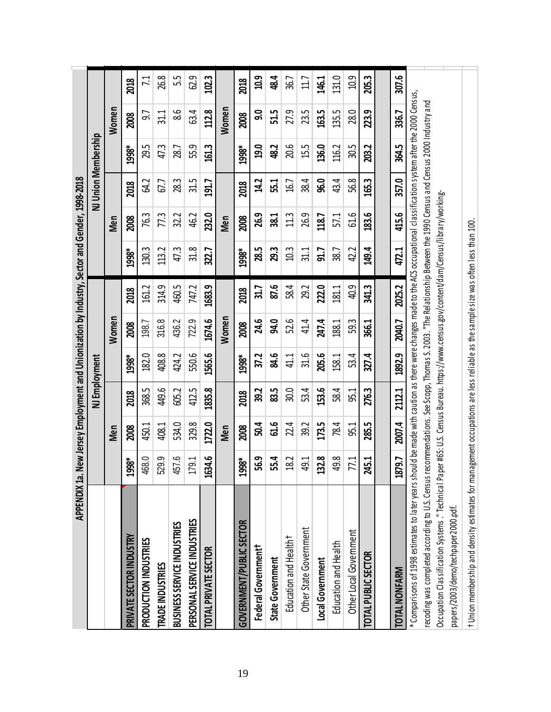| <b>APPENDIX 1a.</b>                                                                                                                                                                                                     |           |            |        |               |        |        | New Jersey Employment and Unionization by Industry, Sector and Gender, 1998-2018                                         |                  |                     |                 |       |                 |
|-------------------------------------------------------------------------------------------------------------------------------------------------------------------------------------------------------------------------|-----------|------------|--------|---------------|--------|--------|--------------------------------------------------------------------------------------------------------------------------|------------------|---------------------|-----------------|-------|-----------------|
|                                                                                                                                                                                                                         |           |            |        | NJ Employment |        |        |                                                                                                                          |                  | NJ Union Membership |                 |       |                 |
|                                                                                                                                                                                                                         |           | <b>Men</b> |        |               | Women  |        |                                                                                                                          | <b>Men</b>       |                     |                 | Women |                 |
| <b>PRIVATE SECTOR INDUSTRY</b>                                                                                                                                                                                          | \$66<br>ஜ | 2008       | 2018   | 1998*         | 2008   | 2018   | 1998*                                                                                                                    | 2008             | 2018                | 1998*           | 2008  | 2018            |
| PRODUCTION INDUSTRIES                                                                                                                                                                                                   | 468.0     | 450.1      | 368.5  | 182.0         | 198.7  | 161.2  | 130.3                                                                                                                    | 76.3             | 54.2                | 29.5            | 5.6   | $\overline{71}$ |
| TRADE INDUSTRIES                                                                                                                                                                                                        | 529.9     | 408.1      | 449.6  | 408.8         | 316.8  | 314.9  | 113.2                                                                                                                    | $7\overline{.}3$ | 67.7                | 47.3            | 311   | 26.8            |
| BUSINESS SERVICE INDUSTRIES                                                                                                                                                                                             | 457.6     | 534.0      | 605.2  | 424.2         | 436.2  | 460.5  | 47.3                                                                                                                     | 32.2             | 28.3                | $\overline{28}$ | 86    | 55              |
| PERSONAL SERVICE INDUSTRIES                                                                                                                                                                                             | 79.1      | 329.8      | 412.5  | 550.6         | 722.9  | 747.2  | 31.8                                                                                                                     | 46.2             | 31.5                | 55.9            | 63.4  | 62.9            |
| <b>TOTAL PRIVATE SECTOR</b>                                                                                                                                                                                             | 1634.6    | 1722.0     | 1835.8 | 1565.6        | 1674.6 | 1683.9 | 322.7                                                                                                                    | 232.0            | 191.7               | 161.3           | 112.8 | 102.3           |
|                                                                                                                                                                                                                         |           | Men        |        |               | Women  |        |                                                                                                                          | Men              |                     |                 | Women |                 |
| <b>GOVERNMENT/PUBLIC SECTOR</b>                                                                                                                                                                                         | 1998*     | 2008       | 2018   | 1998*         | 2008   | 2018   | 1998*                                                                                                                    | 2008             | 2018                | 1998*           | 2008  | 2018            |
| Federal Government <sup>†</sup>                                                                                                                                                                                         | 56.9      | <u>504</u> | 39.2   | 37.2          | 24.6   | 31.7   | 28.5                                                                                                                     | 26.9             | 14.2                | <b>19.0</b>     | ခ္ပ   | 10.9            |
| State Government                                                                                                                                                                                                        | 55.4      | 61.6       | 83.5   | 84.6          | 94.0   | 87.6   | 29.3                                                                                                                     | 38.1             | 55.1                | 48.2            | 51.5  | 48.4            |
| Education and Health <sup>+</sup>                                                                                                                                                                                       | 18.2      | 2.4        | 30.0   | 41.1          | 52.6   | 58.4   | 10.3                                                                                                                     | 11.3             | 16.7                | 20.6            | 27.9  | 36.7            |
| Other State Government                                                                                                                                                                                                  | 49.1      | 39.2       | 53.4   | 31.6          | 41.4   | 29.2   | 31.1                                                                                                                     | 26.9             | 38.4                | 15.5            | 23.5  | 11.7            |
| Local Government                                                                                                                                                                                                        | 32.8      | 173.5      | 153.6  | 205.6         | 247.4  | 222.0  | 91.7                                                                                                                     | 118.7            | 96.0                | 136.0           | 163.5 | 146.1           |
| Education and Health                                                                                                                                                                                                    | 49.8      | 78.4       | 58.4   | 158.1         | 188.1  | 181.1  | 38.7                                                                                                                     | 5/1              | 43.4                | 116.2           | 135.5 | 131.0           |
| Other Local Government                                                                                                                                                                                                  | 77.1      | 95.1       | 95.1   | 53.4          | 59.3   | 40.9   | 42.2                                                                                                                     | 61.6             | 56.8                | ഗ<br>ခွ         | 28.0  | 10.9            |
| TOTAL PUBLIC SECTOR                                                                                                                                                                                                     | 245.1     | 285.5      | 276.3  | 327.4         | 366.1  | 341.3  | 149.4                                                                                                                    | 183.6            | 165.3               | 203.2           | 223.9 | 205.3           |
|                                                                                                                                                                                                                         |           |            |        |               |        |        |                                                                                                                          |                  |                     |                 |       |                 |
| <b>TOTAL NONFARM</b>                                                                                                                                                                                                    | 1879.7    | 2007.4     | 2112.1 | 1892.9        | 2040.7 | 2025.2 | 472.1                                                                                                                    | 415.6            | 357.0               | 364.5           | 336.7 | 307.6           |
| ecoding was completed according to U.S. Census recommendations. See Scopp, Thomas S. 2003. "The Relationship Between the 1990 Census and Census 2000 Industry and<br>* Comparisons of 1998 estimates to later years sho |           |            |        |               |        |        | uld be made with caution as there were changes made to the ACS occupational classification system after the 2000 Census, |                  |                     |                 |       |                 |
| Occupation Classification Systems ." Technical Pap                                                                                                                                                                      |           |            |        |               |        |        | er #65: U.S. Census Bureau. https://www.census.gov/content/dam/Census/library/working                                    |                  |                     |                 |       |                 |
| oapers/2003/demo/techpaper2000.pdf.                                                                                                                                                                                     |           |            |        |               |        |        |                                                                                                                          |                  |                     |                 |       |                 |
| t Union membership and density estimates for management occupations are less reliable as the sample size was often less than 100                                                                                        |           |            |        |               |        |        |                                                                                                                          |                  |                     |                 |       |                 |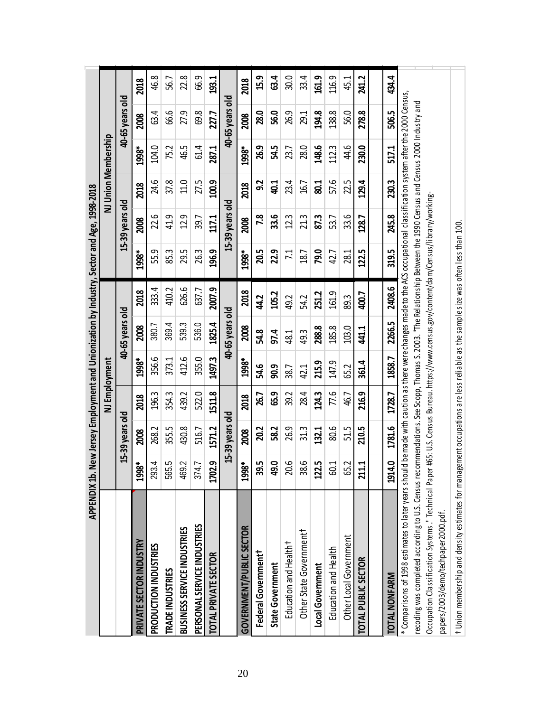|                                                                                                                                                                                                                                                                                                                                                 | APPENDIX 1b. New Jersey Employment and Unionization by Industry, Sector and Age, 1998-2018 |                 |        |               |                 |                                                                                     |                |                 |                     |       |                 |       |
|-------------------------------------------------------------------------------------------------------------------------------------------------------------------------------------------------------------------------------------------------------------------------------------------------------------------------------------------------|--------------------------------------------------------------------------------------------|-----------------|--------|---------------|-----------------|-------------------------------------------------------------------------------------|----------------|-----------------|---------------------|-------|-----------------|-------|
|                                                                                                                                                                                                                                                                                                                                                 |                                                                                            |                 |        | NJ Employment |                 |                                                                                     |                |                 | NJ Union Membership |       |                 |       |
|                                                                                                                                                                                                                                                                                                                                                 |                                                                                            | 15-39 years old |        |               | 40-65 years old |                                                                                     |                | 15-39 years old |                     |       | 40-65 years old |       |
| <b>PRIVATE SECTOR INDUSTRY</b>                                                                                                                                                                                                                                                                                                                  | ₩<br>1998                                                                                  | 2008            | 2018   | 1998*         | 2008            | 2018                                                                                | 1998*          | 2008            | 2018                | 1998* | 2008            | 2018  |
| PRODUCTION INDUSTRIES                                                                                                                                                                                                                                                                                                                           | 4<br>293.                                                                                  | 268.2           | 196.3  | 356.6         | 380.7           | 333.4                                                                               | 55.9           | 22.6            | 24.6                | 104.0 | 63.4            | 46.8  |
| TRADE INDUSTRIES                                                                                                                                                                                                                                                                                                                                | မာ<br>565.                                                                                 | 355.5           | 354.3  | 373.1         | 369.4           | 410.2                                                                               | 85.3           | 41.9            | 37.8                | 75.2  | 66.6            | 56.7  |
| BUSINESS SERVICE INDUSTRIES                                                                                                                                                                                                                                                                                                                     | $\sim$<br>469.                                                                             | 430.8           | 439.2  | 412.6         | 539.3           | 626.6                                                                               | 29.5           | 12.9            | 11.0                | 46.5  | 27.9            | 22.8  |
| PERSONAL SERVICE INDUSTRIES                                                                                                                                                                                                                                                                                                                     | 374.7                                                                                      | 516.7           | 522.0  | 355.0         | 536.0           | 637.7                                                                               | 26.3           | 39.7            | 27.5                | 61.4  | 69.8            | 66.9  |
| TOTAL PRIVATE SECTOR                                                                                                                                                                                                                                                                                                                            | <u> က</u><br>1702.                                                                         | 1571.2          | 1511.8 | 1497.3        | 1825.4          | 2007.9                                                                              | 196.9          | 117.1           | 100.9               | 287.1 | 227.7           | 193.1 |
|                                                                                                                                                                                                                                                                                                                                                 |                                                                                            | 15-39 years old |        |               | 40-65 years old |                                                                                     |                | 15-39 years old |                     |       | 40-65 years old |       |
| GOVERNMENT/PUBLIC SECTOR                                                                                                                                                                                                                                                                                                                        | ₩<br>1998                                                                                  | 2008            | 2018   | 1998*         | 2008            | 2018                                                                                | 1998*          | 2008            | 2018                | 1998* | 2008            | 2018  |
| Federal Government                                                                                                                                                                                                                                                                                                                              | ഗ<br>စ္က                                                                                   | 20.2            | 26.7   | 54.6          | 54.8            | 42                                                                                  | 20.5           | 7.8             | 32                  | 26.9  | 28.0            | 15.9  |
| <b>State Government</b>                                                                                                                                                                                                                                                                                                                         | $\bullet$<br>ဒ္                                                                            | 58.2            | 65.9   | 90.9          | 97.4            | 105.2                                                                               | 22.9           | 33.6            | 40.1                | 54.5  | 56.0            | 63.4  |
| Education and Health <sup>+</sup>                                                                                                                                                                                                                                                                                                               | ص<br>S.                                                                                    | 26.9            | 39.2   | 38.7          | 48.1            | 49.2                                                                                | $\overline{z}$ | 12.3            | 23.4                | 23.7  | 26.9            | 30.0  |
| Other State Government <sup>†</sup>                                                                                                                                                                                                                                                                                                             | ص<br><u>જ</u>                                                                              | 31.3            | 28.4   | 42.1          | 49.3            | 54.2                                                                                | 18.7           | 21.3            | 16.7                | 28.0  | 29.1            | 33.4  |
| Local Government                                                                                                                                                                                                                                                                                                                                | Lņ<br><u>122.</u>                                                                          | 132.1           | 124.3  | 215.9         | 288.8           | 251.2                                                                               | 79.0           | 87.3            | 80.1                | 148.6 | 194.8           | 161.9 |
| Education and Health                                                                                                                                                                                                                                                                                                                            | J<br>S                                                                                     | 80.6            | 77.6   | 147.9         | 185.8           | 161.9                                                                               | 42.7           | 53.7            | 57.6                | 112.3 | 138.8           | 116.9 |
| Other Local Government                                                                                                                                                                                                                                                                                                                          | $\sim$<br>ఱ                                                                                | 51.5            | 46.7   | 65.2          | 103.0           | 89.3                                                                                | 28.1           | 33.6            | 22.5                | 44.6  | 56.0            | 45.1  |
| TOTAL PUBLIC SECTOR                                                                                                                                                                                                                                                                                                                             | ÷<br><b>211</b>                                                                            | 210.5           | 216.9  | 361.4         | 441.1           | 400.7                                                                               | 122.5          | 128.7           | 129.4               | 230.0 | 278.8           | 241.2 |
|                                                                                                                                                                                                                                                                                                                                                 |                                                                                            |                 |        |               |                 |                                                                                     |                |                 |                     |       |                 |       |
| <b>TOTAL NONFARM</b>                                                                                                                                                                                                                                                                                                                            | 1914.0                                                                                     | 1781.6          | 1728.7 | 1858.7        | 2266.5          | 2408.6                                                                              | 319.5          | 245.8           | 230.3               | 517.1 | 506.5           | 434.4 |
| * Comparisons of 1998 estimates to later years should be made with caution as there were changes made to the ACS occupational classification system after the 2000 Census,<br>ecoding was completed according to U.S. Census recommendations. See Scopp, Thomas S. 2003. "The Relationship Between the 1990 Census and Census 2000 Industry and |                                                                                            |                 |        |               |                 |                                                                                     |                |                 |                     |       |                 |       |
| Occupation Classification Systems." Technical Paper<br>papers/2003/demo/techpaper2000.pdf.                                                                                                                                                                                                                                                      |                                                                                            |                 |        |               |                 | #65: U.S. Census Bureau. https://www.census.gov/content/dam/Census/library/working- |                |                 |                     |       |                 |       |
| t Union membership and density estimates for management occupations are less reliable as the sample size was often less than 100                                                                                                                                                                                                                |                                                                                            |                 |        |               |                 |                                                                                     |                |                 |                     |       |                 |       |

20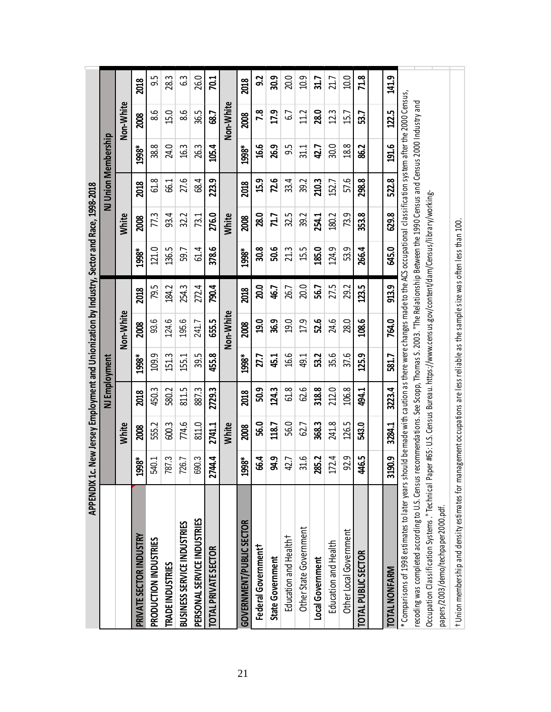|                                                                                                                                                                                                                                                                                                                                                 | APPENDIX 1c. New Jersey Employment and Unionization by Industry, Sector and Race, 1998-2018 |              |               |       |           |       |                                                                                        |                  |                     |       |           |                |
|-------------------------------------------------------------------------------------------------------------------------------------------------------------------------------------------------------------------------------------------------------------------------------------------------------------------------------------------------|---------------------------------------------------------------------------------------------|--------------|---------------|-------|-----------|-------|----------------------------------------------------------------------------------------|------------------|---------------------|-------|-----------|----------------|
|                                                                                                                                                                                                                                                                                                                                                 |                                                                                             |              | NJ Employment |       |           |       |                                                                                        |                  | NJ Union Membership |       |           |                |
|                                                                                                                                                                                                                                                                                                                                                 |                                                                                             | White        |               |       | Non-White |       |                                                                                        | <b>White</b>     |                     |       | Non-White |                |
| <b>PRIVATE SECTOR INDUSTRY</b>                                                                                                                                                                                                                                                                                                                  | *86<br>ຌ                                                                                    | 2008         | 2018          | 1998* | 2008      | 2018  | 1998*                                                                                  | 2008             | 2018                | 1998* | 2008      | 2018           |
| PRODUCTION INDUSTRIES                                                                                                                                                                                                                                                                                                                           | 540.1                                                                                       | 555.2        | 450.3         | 109.9 | 93.6      | 79.5  | 121.0                                                                                  | $7\overline{.3}$ | 61.8                | 38.8  | 8.6       | 5.6            |
| <b>TRADE INDUSTRIES</b>                                                                                                                                                                                                                                                                                                                         | 787.3                                                                                       | 600.3        | 580.2         | 1513  | 124.6     | 184.2 | 136.5                                                                                  | 93.4             | <b>66.1</b>         | 24.0  | 15.0      | 28.3           |
| BUSINESS SERVICE INDUSTRIES                                                                                                                                                                                                                                                                                                                     | 726.7                                                                                       | 774.6        | 811.5         | 155.1 | 195.6     | 254.3 | 59.7                                                                                   | 32.2             | 27.6                | 16.3  | 8.6       | 63             |
| PERSONAL SERVICE INDUSTRIES                                                                                                                                                                                                                                                                                                                     | 690.3                                                                                       | 811.0        | 887.3         | 39.5  | 241.7     | 272.4 | 61.4                                                                                   | 73.1             | 68.4                | 26.3  | 36.5      | 26.0           |
| TOTAL PRIVATE SECTOR                                                                                                                                                                                                                                                                                                                            | 2744.4                                                                                      | 2741.1       | 2729.3        | 455.8 | 655.5     | 790.4 | 378.6                                                                                  | 276.0            | 223.9               | 105.4 | 68.7      | <b>70.1</b>    |
|                                                                                                                                                                                                                                                                                                                                                 |                                                                                             | <b>White</b> |               |       | Non-White |       |                                                                                        | <b>White</b>     |                     |       | Non-White |                |
| GOVERNMENT/PUBLIC SECTOR                                                                                                                                                                                                                                                                                                                        | <b>\$866</b><br>ဍ                                                                           | 2008         | 2018          | 1998* | 2008      | 2018  | 1998*                                                                                  | 2008             | 2018                | 1998* | 2008      | 2018           |
| Federal Governmentt                                                                                                                                                                                                                                                                                                                             | 66.4                                                                                        | 56.0         | 50.9          | 27.7  | 19.0      | 20.0  | 30.8                                                                                   | 28.0             | 15.9                | 16.6  | 7.8       | 3 <sub>2</sub> |
| <b>State Government</b>                                                                                                                                                                                                                                                                                                                         | 94.9                                                                                        | 118.7        | 124.3         | 45.1  | 36.9      | 46.7  | 50.6                                                                                   | 71.7             | 72.6                | 26.9  | 17.9      | 30.9           |
| Education and Health <sup>+</sup>                                                                                                                                                                                                                                                                                                               | 42.7                                                                                        | 56.0         | 61.8          | 16.6  | 19.0      | 26.7  | 213                                                                                    | 32.5             | 33.4                | 9.5   | C.J       | 20.0           |
| Other State Government                                                                                                                                                                                                                                                                                                                          | 31.6                                                                                        | 62.7         | 62.6          | 49.1  | 17.9      | 20.0  | 15.5                                                                                   | 39.2             | 39.2                | 31.1  | 11.2      | 10.9           |
| Local Government                                                                                                                                                                                                                                                                                                                                | 285.2                                                                                       | 368.3        | 318.8         | 53.2  | 52.6      | 56.7  | 185.0                                                                                  | 254.1            | 210.3               | 42.7  | 28.0      | 31.7           |
| Education and Health                                                                                                                                                                                                                                                                                                                            | 172.4                                                                                       | 241.8        | 212.0         | 35.6  | 24.6      | 27.5  | 124.9                                                                                  | 180.2            | 152.7               | 30.0  | 12.3      | 21.7           |
| Other Local Government                                                                                                                                                                                                                                                                                                                          | 92.9                                                                                        | 126.5        | 106.8         | 37.6  | 28.0      | 29.2  | 53.9                                                                                   | 73.9             | 57.6                | 18.8  | 15.7      | 0.01           |
| TOTAL PUBLIC SECTOR                                                                                                                                                                                                                                                                                                                             | 446.5                                                                                       | 543.0        | 494.1         | 125.9 | 108.6     | 123.5 | 266.4                                                                                  | 353.8            | 298.8               | 86.2  | 53.7      | 71.8           |
|                                                                                                                                                                                                                                                                                                                                                 |                                                                                             |              |               |       |           |       |                                                                                        |                  |                     |       |           |                |
| <b>TOTAL NONFARM</b>                                                                                                                                                                                                                                                                                                                            | 3190.9                                                                                      | 3284.1       | 3223.4        | 581.7 | 764.0     | 913.9 | 645.0                                                                                  | 629.8            | 522.8               | 191.6 | 122.5     | 141.9          |
| * Comparisons of 1998 estimates to later years should be made with caution as there were changes made to the ACS occupational classification system after the 2000 Census,<br>ecoding was completed according to U.S. Census recommendations. See Scopp, Thomas S. 2003. "The Relationship Between the 1990 Census and Census 2000 Industry and |                                                                                             |              |               |       |           |       |                                                                                        |                  |                     |       |           |                |
| Occupation Classification Systems ." Technical Pap<br>pars/2003/demo/techpaper2000.pdf.                                                                                                                                                                                                                                                         |                                                                                             |              |               |       |           |       | er #65: U.S. Census Bureau. https://www.census.gov/content/dam/Census/library/working- |                  |                     |       |           |                |
| t Union membership and density estimates for management occupations are less reliable as the sample size was often less than 100                                                                                                                                                                                                                |                                                                                             |              |               |       |           |       |                                                                                        |                  |                     |       |           |                |

21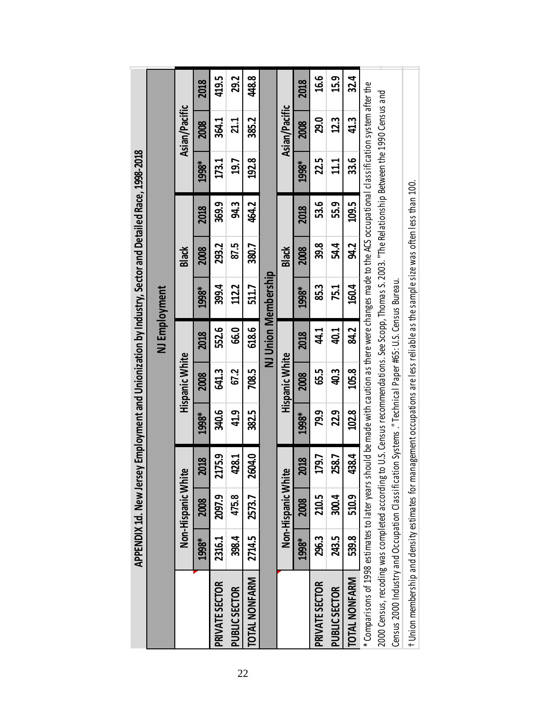|                                                                                                                                                               |        |                    |             |              |                       |               | APPENDIX 1d. New Jersey Employment and Unionization by Industry, Sector and Detailed Race, 1998-2018 |       |       |               |               |       |
|---------------------------------------------------------------------------------------------------------------------------------------------------------------|--------|--------------------|-------------|--------------|-----------------------|---------------|------------------------------------------------------------------------------------------------------|-------|-------|---------------|---------------|-------|
|                                                                                                                                                               |        |                    |             |              |                       | NJ Employment |                                                                                                      |       |       |               |               |       |
|                                                                                                                                                               |        | Non-Hispanic White |             |              | <b>Hispanic White</b> |               |                                                                                                      | Black |       |               | Asian/Pacific |       |
|                                                                                                                                                               | 1998*  | 2008               | 018         | 1998*        | 2008                  | 2018          | 1998*                                                                                                | 2008  | 2018  | 1998*         | 2008          | 2018  |
| <b>PRIVATE SECTOR</b>                                                                                                                                         | 2316.1 | 2097.9             | 175.9<br>ನ  | 340.6        | 641.3                 | 552.6         | 399.4                                                                                                | 293.2 | 369.9 | 173.1         | 364.1         | 419.5 |
| <b>PUBLIC SECTOR</b>                                                                                                                                          | 398.4  | 475.8              | <b>128</b>  | <b>41.9</b>  | 67.2                  | 66.0          | 112.2                                                                                                | 87.5  | 94.3  | 19.7          | 21.1          | 29.2  |
| <b>TOTAL NONFARM</b>                                                                                                                                          | 2714.5 | 2573.7             | 2604.0      | 382.5        | 708.5                 | 618.6         | 511.7                                                                                                | 380.7 | 464.2 | 192.8         | 385.2         | 448.8 |
|                                                                                                                                                               |        |                    |             |              |                       |               | NJ Union Membership                                                                                  |       |       |               |               |       |
|                                                                                                                                                               |        | Non-Hispanic White |             |              | <b>Hispanic White</b> |               |                                                                                                      | Black |       |               | Asian/Pacific |       |
|                                                                                                                                                               | 1998*  | 2008               | 2018        | 1998*        | 2008                  | 2018          | 1998*                                                                                                | 2008  | 2018  | 1998*         | 2008          | 2018  |
| PRIVATE SECTOR                                                                                                                                                | 296.3  | 210.5              | 79.7        | 79.9         | 65.5                  | 41            | 85.3                                                                                                 | 39.8  | 53.6  | 22.5          | 29.0          | 16.6  |
| <b>PUBLIC SECTOR</b>                                                                                                                                          | 243.5  | 300.4              | <b>58.7</b> | 229          | <b>40.3</b>           | 40.1          | 75.1                                                                                                 | 54.4  | 55.9  | 11.1          | 12.3          | 15.9  |
| <b>TOTAL NONFARM</b>                                                                                                                                          | 539.8  | 510.9              | 138.4       | <b>102.8</b> | 105.8                 | 84.2          | 160.4                                                                                                | 94.2  | 109.5 | ე<br>33.<br>თ | 413           | 32.4  |
| * Comparisons of 1998 estimates to later years should be made with caution as there were changes made to the ACS occupational classification system after the |        |                    |             |              |                       |               |                                                                                                      |       |       |               |               |       |
| 2000 Census, recoding was completed according to U.S. Census recommendations. See Scopp, Thomas S. 2003. "The Relationship Between the 1990 Census and        |        |                    |             |              |                       |               |                                                                                                      |       |       |               |               |       |
| Census 2000 Industry and Occupation Classification Systems ." Technical Paper #65: U.S. Census Bureau.                                                        |        |                    |             |              |                       |               |                                                                                                      |       |       |               |               |       |
| t Union membership and density estimates for ma                                                                                                               |        |                    |             |              |                       |               | nagement occupations are less reliable as the sample size was often less than 100.                   |       |       |               |               |       |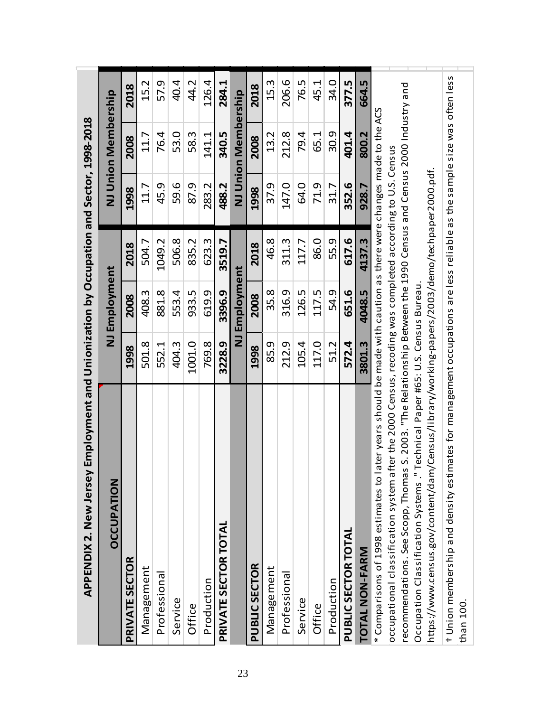| Employment and Unionization by Occupation and Sector, 1998-2018<br><b>APPENDIX 2. New Jersey</b>                                     |                         |               |        |       |                     |       |
|--------------------------------------------------------------------------------------------------------------------------------------|-------------------------|---------------|--------|-------|---------------------|-------|
| <b>OCCUPATION</b>                                                                                                                    |                         | NJ Employment |        |       | NJ Union Membership |       |
| <b>PRIVATE SECTOR</b>                                                                                                                | 1998                    | 2008          | 2018   | 1998  | 2008                | 2018  |
| Management                                                                                                                           | 501.8                   | 408.3         | 504.7  | 11.7  | 11.7                | 15.2  |
| Professional                                                                                                                         | 552.1                   | 881.8         | 1049.2 | 45.9  | 76.4                | 57.9  |
| Service                                                                                                                              | 404.3                   | 553.4         | 506.8  | 59.6  | 53.0                | 40.4  |
| Office                                                                                                                               | 1001.0                  | 933.5         | 835.2  | 87.9  | 58.3                | 44.2  |
| Production                                                                                                                           | 769.8                   | 619.9         | 623.3  | 283.2 | 141.1               | 126.4 |
| PRIVATE SECTOR TOTAL                                                                                                                 | 3228.9                  | 3396.9        | 3519.7 | 488.2 | 340.5               | 284.1 |
|                                                                                                                                      | $\overline{\mathsf{z}}$ | Employment    |        |       | NJ Union Membership |       |
| PUBLIC SECTOR                                                                                                                        | 1998                    | 2008          | 2018   | 1998  | 2008                | 2018  |
| Management                                                                                                                           | 85.9                    | 35.8          | 46.8   | 37.9  | 13.2                | 15.3  |
| Professional                                                                                                                         | 212.9                   | 316.9         | 311.3  | 147.0 | 212.8               | 206.6 |
| Service                                                                                                                              | 105.4                   | 126.5         | 117.7  | 64.0  | 79.4                | 76.5  |
| Office                                                                                                                               | 117.0                   | 117.5         | 86.0   | 71.9  | 65.1                | 45.1  |
| Production                                                                                                                           | 51.2                    | 54.9          | 55.9   | 31.7  | 30.9                | 34.0  |
| PUBLIC SECTOR TOTAL                                                                                                                  | 572.4                   | 651.6         | 617.6  | 352.6 | 401.4               | 377.5 |
| <b>TOTAL NON-FARM</b>                                                                                                                | 3801.3                  | 4048.5        | 4137.3 | 928.7 | 800.2               | 664.5 |
| * Comparisons of 1998 estimates to later years should be made with caution as there were changes made to the ACS                     |                         |               |        |       |                     |       |
| occupational classification system after the 2000 Census, recoding was completed according to U.S. Census                            |                         |               |        |       |                     |       |
| S. 2003. "The Relationship Between the 1990 Census and Census 2000 Industry and<br>recommendations. See Scopp, Thomas                |                         |               |        |       |                     |       |
| Occupation Classification Systems." Technical Paper #65: U.S. Census Bureau.                                                         |                         |               |        |       |                     |       |
| https://www.census.gov/content/dam/Census/library/working-papers/2003/demo/techpaper2000.pdf.                                        |                         |               |        |       |                     |       |
| t Union membership and density estimates for management occupations are less reliable as the sample size was often less<br>than 100. |                         |               |        |       |                     |       |
|                                                                                                                                      |                         |               |        |       |                     |       |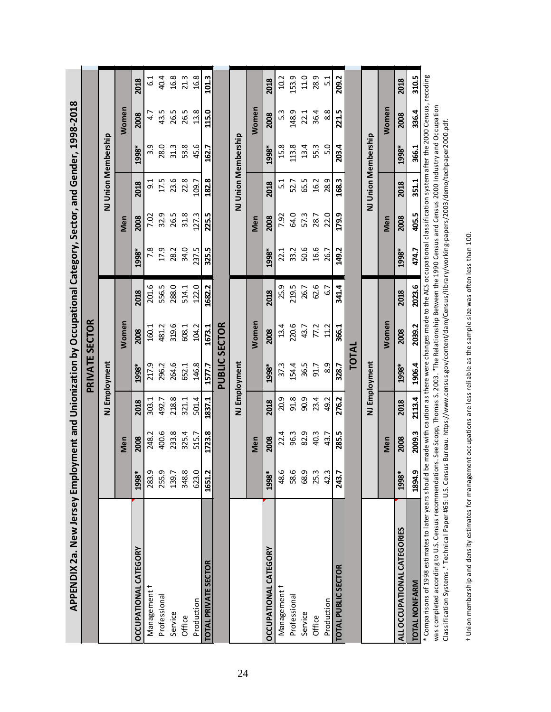| APPENDIX 2a. New Jersey Employment and Unionization by Occupational Category, Sector, and Gender, 1998-2018                                                                                                                                                                                                                             |        |        |        |                       |        |        |       |       |         |                     |       |                  |
|-----------------------------------------------------------------------------------------------------------------------------------------------------------------------------------------------------------------------------------------------------------------------------------------------------------------------------------------|--------|--------|--------|-----------------------|--------|--------|-------|-------|---------|---------------------|-------|------------------|
|                                                                                                                                                                                                                                                                                                                                         |        |        |        | <b>PRIVATE SECTOR</b> |        |        |       |       |         |                     |       |                  |
|                                                                                                                                                                                                                                                                                                                                         |        |        |        | NJ Employment         |        |        |       |       |         | NJ Union Membership |       |                  |
|                                                                                                                                                                                                                                                                                                                                         |        | Men    |        |                       | Women  |        |       | Men   |         |                     | Women |                  |
| <b>DCCUPATIONAL CATEGORY</b>                                                                                                                                                                                                                                                                                                            | 1998*  | 2008   | 2018   | 1998*                 | 2008   | 2018   | 1998* | 2008  | 2018    | 1998*               | 2008  | 2018             |
| Management                                                                                                                                                                                                                                                                                                                              | 283.9  | 248.2  | 303.1  | 217.9                 | 160.1  | 201.6  | 7.8   | 7.02  | ე:<br>თ | თ<br>ന്             | 4.7   | <u>ہ</u>         |
| Professional                                                                                                                                                                                                                                                                                                                            | 255.9  | 400.6  | 492.7  | 296.2                 | 481.2  | 556.5  | 17.9  | 32.9  | 17.5    | 28.0                | 43.5  | 40.4             |
| Service                                                                                                                                                                                                                                                                                                                                 | 139.7  | 233.8  | 218.8  | 264.6                 | 319.6  | 288.0  | 28.2  | 26.5  | 23.6    | 31.3                | 26.5  | 16.8             |
| Office                                                                                                                                                                                                                                                                                                                                  | 348.8  | 325.4  | 321.1  | 652.1                 | 608.1  | 514.1  | 34.0  | 31.8  | 22.8    | 53.8                | 26.5  | 21.3             |
| Production                                                                                                                                                                                                                                                                                                                              | 623.0  | 515.7  | 501.4  | 146.8                 | 104.2  | 122.0  | 237.5 | 127.3 | 109.7   | 45.6                | 13.8  | 16.8             |
| TOTAL PRIVATE SECTOR                                                                                                                                                                                                                                                                                                                    | 1651.2 | 1723.8 | 1837.1 | 1577.7                | 1673.1 | 1682.2 | 325.5 | 225.5 | 182.8   | 162.7               | 115.0 | 101.3            |
|                                                                                                                                                                                                                                                                                                                                         |        |        |        | <b>PUBLIC SECTOR</b>  |        |        |       |       |         |                     |       |                  |
|                                                                                                                                                                                                                                                                                                                                         |        |        |        | NJ Employment         |        |        |       |       |         | NJ Union Membership |       |                  |
|                                                                                                                                                                                                                                                                                                                                         |        | Men    |        |                       | Women  |        |       | Men   |         |                     | Women |                  |
| <b>DCCUPATIONAL CATEGORY</b>                                                                                                                                                                                                                                                                                                            | 1998*  | 2008   | 2018   | 1998*                 | 2008   | 2018   | 1998* | 2008  | 2018    | 1998*               | 2008  | 2018             |
|                                                                                                                                                                                                                                                                                                                                         |        |        |        |                       |        |        |       |       |         |                     |       |                  |
| Management <sup>†</sup>                                                                                                                                                                                                                                                                                                                 | 48.6   | 22.4   | 20.9   | 37.3                  | 13.4   | 25.9   | 22.1  | 7.92  | 5.1     | 15.8                | 5.3   | 10.2             |
| Professional                                                                                                                                                                                                                                                                                                                            | 58.6   | 96.3   | 91.8   | 154.4                 | 220.6  | 219.5  | 33.2  | 64.0  | 52.7    | 113.8               | 148.9 | 153.9            |
| Service                                                                                                                                                                                                                                                                                                                                 | 68.9   | 82.9   | 90.9   | 36.5                  | 43.7   | 26.7   | 50.6  | 57.3  | 65.5    | 13.4                | 22.1  | 11.0             |
| Office                                                                                                                                                                                                                                                                                                                                  | 25.3   | 40.3   | 23.4   | 91.7                  | 77.2   | 62.6   | 16.6  | 28.7  | 16.2    | 55.3                | 36.4  | 28.9             |
| Production                                                                                                                                                                                                                                                                                                                              | 42.3   | 43.7   | 49.2   | 8.9                   | 11.2   | 6.7    | 26.7  | 22.0  | 28.9    | 5.0                 | 8.8   | $\overline{5}$ . |
| TOTAL PUBLIC SECTOR                                                                                                                                                                                                                                                                                                                     | 243.7  | 285.5  | 276.2  | 328.7                 | 366.1  | 341.4  | 149.2 | 179.9 | 168.3   | 203.4               | 221.5 | 209.2            |
|                                                                                                                                                                                                                                                                                                                                         |        |        |        | TOTAL                 |        |        |       |       |         |                     |       |                  |
|                                                                                                                                                                                                                                                                                                                                         |        |        |        | NJ Employment         |        |        |       |       |         | NJ Union Membership |       |                  |
|                                                                                                                                                                                                                                                                                                                                         |        | Men    |        |                       | Women  |        |       | Men   |         |                     | Women |                  |
| ALL OCCUPATIONAL CATEGORIES                                                                                                                                                                                                                                                                                                             | 1998*  | 2008   | 2018   | 1998*                 | 2008   | 2018   | 1998* | 2008  | 2018    | 1998*               | 2008  | 2018             |
| <b>TOTAL NONFARM</b>                                                                                                                                                                                                                                                                                                                    | 1894.9 | 2009.3 | 2113.4 | 1906.4                | 2039.2 | 2023.6 | 474.7 | 405.5 | 351.1   | 366.1               | 336.4 | 310.5            |
| * Comparisons of 1998 estimates to later years should be made with caution as there were changes made to the ACS occupational classification system after the 2000 Census, recoding                                                                                                                                                     |        |        |        |                       |        |        |       |       |         |                     |       |                  |
| was completed according to U.S. Census recommendations. See Scopp, Thomas S. 2003. "The Relationship Between the 1990 Census and Census 2000 Industry and Occupation<br>Classification Systems." Technical Paper #65: U.S. Census Bureau. https://www.census.gov/content/dam/Census/library/working-papers/2003/demo/techpaper2000.pdf. |        |        |        |                       |        |        |       |       |         |                     |       |                  |
|                                                                                                                                                                                                                                                                                                                                         |        |        |        |                       |        |        |       |       |         |                     |       |                  |

t Union membership and density estimates for management occupations are less reliable as the sample size was often less than 100. † Union membership and density estimates for management occupations are less reliable as the sample size was often less than 100.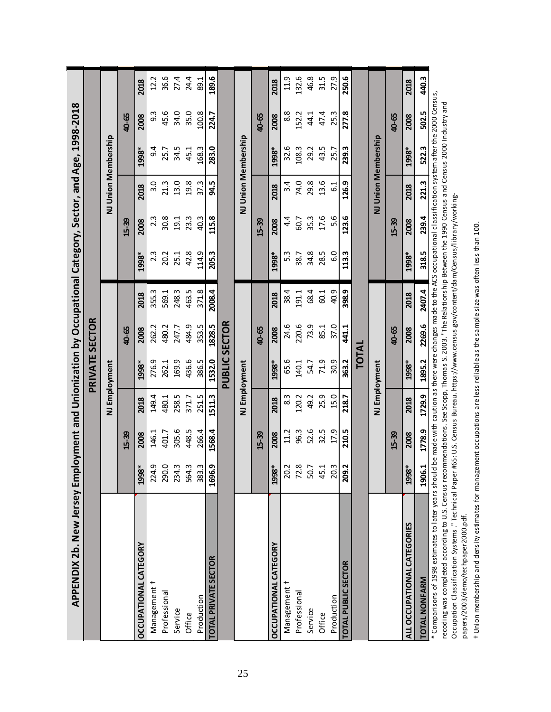| APPENDIX 2b. New Jersey Employment and Unionization by Occupational Category, Sector, and Age, 1998-2018                                                                                                                                                                                                                                         |                          |        |        |                      |        |        |                                                                                     |                  |       |                     |       |       |
|--------------------------------------------------------------------------------------------------------------------------------------------------------------------------------------------------------------------------------------------------------------------------------------------------------------------------------------------------|--------------------------|--------|--------|----------------------|--------|--------|-------------------------------------------------------------------------------------|------------------|-------|---------------------|-------|-------|
|                                                                                                                                                                                                                                                                                                                                                  |                          |        |        | PRIVATE SECTOR       |        |        |                                                                                     |                  |       |                     |       |       |
|                                                                                                                                                                                                                                                                                                                                                  |                          |        |        | NJ Employment        |        |        |                                                                                     |                  |       | NJ Union Membership |       |       |
|                                                                                                                                                                                                                                                                                                                                                  |                          | 15-39  |        |                      | 40-65  |        |                                                                                     | 15-39            |       |                     | 40-65 |       |
| <b><i>OCCUPATIONAL CATEGORY</i></b>                                                                                                                                                                                                                                                                                                              | 1998*                    | 2008   | 2018   | 1998*                | 2008   | 2018   | 1998*                                                                               | 2008             | 2018  | 1998*               | 2008  | 2018  |
| Management †                                                                                                                                                                                                                                                                                                                                     | G<br>224.                | 146.1  | 149.4  | 276.9                | 262.2  | 355.3  | $2.\overline{3}$                                                                    | $2.\overline{3}$ | 3.0   | 9.4                 | 9.3   | 12.2  |
| Professional                                                                                                                                                                                                                                                                                                                                     | $\circ$<br>290.          | 401.7  | 480.1  | 262.1                | 480.2  | 569.1  | 20.2                                                                                | 30.8             | 21.3  | 25.7                | 45.6  | 36.6  |
| Service                                                                                                                                                                                                                                                                                                                                          | ന<br>234.                | 305.6  | 258.5  | 169.9                | 247.7  | 248.3  | 25.1                                                                                | 19.1             | 13.0  | 34.5                | 34.0  | 27.4  |
| Office                                                                                                                                                                                                                                                                                                                                           | $\mathsf{m}$<br>564.     | 448.5  | 371.7  | 436.6                | 484.9  | 463.5  | 42.8                                                                                | 23.3             | 19.8  | 45.1                | 35.0  | 24.4  |
| Production                                                                                                                                                                                                                                                                                                                                       | 383.3                    | 266.4  | 251.5  | 386.5                | 353.5  | 371.8  | 114.9                                                                               | 40.3             | 37.3  | 168.3               | 100.8 | 89.1  |
| TOTAL PRIVATE SECTOR                                                                                                                                                                                                                                                                                                                             | 1696.9                   | 1568.4 | 1511.3 | 1532.0               | 1828.5 | 2008.4 | 205.3                                                                               | 115.8            | 94.5  | 283.0               | 224.7 | 189.6 |
|                                                                                                                                                                                                                                                                                                                                                  |                          |        |        | <b>PUBLIC SECTOR</b> |        |        |                                                                                     |                  |       |                     |       |       |
|                                                                                                                                                                                                                                                                                                                                                  |                          |        |        | NJ Employment        |        |        |                                                                                     |                  |       | NJ Union Membership |       |       |
|                                                                                                                                                                                                                                                                                                                                                  |                          | 15-39  |        |                      | 40-65  |        |                                                                                     | 15-39            |       |                     | 40-65 |       |
| <b>DCCUPATIONAL CATEGORY</b>                                                                                                                                                                                                                                                                                                                     | 1998*                    | 2008   | 2018   | 1998*                | 2008   | 2018   | 1998*                                                                               | 2008             | 2018  | 1998*               | 2008  | 2018  |
| Management <del>1</del>                                                                                                                                                                                                                                                                                                                          | $\sim$<br>$\overline{5}$ | 11.2   | 83     | 65.6                 | 24.6   | 38.4   | 5.3                                                                                 | 4.4              | 3.4   | 32.6                | 8.8   | 11.9  |
| Professional                                                                                                                                                                                                                                                                                                                                     | $\infty$<br>72.          | 96.3   | 120.2  | 140.1                | 220.6  | 191.1  | 38.7                                                                                | 60.7             | 74.0  | 108.3               | 152.2 | 132.6 |
| Service                                                                                                                                                                                                                                                                                                                                          | $\overline{ }$<br>S.     | 52.6   | 49.2   | 54.7                 | 73.9   | 68.4   | 34.8                                                                                | 35.3             | 29.8  | 29.2                | 44.1  | 46.8  |
| Office                                                                                                                                                                                                                                                                                                                                           | 45.1                     | 32.5   | 25.9   | 71.9                 | 85.1   | 60.1   | 28.5                                                                                | 17.6             | 13.6  | 43.5                | 47.4  | 31.5  |
| Production                                                                                                                                                                                                                                                                                                                                       | 20.3                     | 17.9   | 15.0   | 30.9                 | 37.0   | 40.9   | 6.0                                                                                 | 5.6              | 61    | 25.7                | 25.3  | 27.9  |
| TOTAL PUBLIC SECTOR                                                                                                                                                                                                                                                                                                                              | Ņ<br>209.                | 210.5  | 218.7  | 363.2                | 441.1  | 398.9  | 113.3                                                                               | 123.6            | 126.9 | 239.3               | 277.8 | 250.6 |
|                                                                                                                                                                                                                                                                                                                                                  |                          |        |        | <b>TOTAL</b>         |        |        |                                                                                     |                  |       |                     |       |       |
|                                                                                                                                                                                                                                                                                                                                                  |                          |        |        | NJ Employment        |        |        |                                                                                     |                  |       | NJ Union Membership |       |       |
|                                                                                                                                                                                                                                                                                                                                                  |                          | 15-39  |        |                      | 40-65  |        |                                                                                     | 15-39            |       |                     | 40-65 |       |
| ALL OCCUPATIONAL CATEGORIES                                                                                                                                                                                                                                                                                                                      | 1998*                    | 2008   | 2018   | 1998*                | 2008   | 2018   | 1998*                                                                               | 2008             | 2018  | 1998*               | 2008  | 2018  |
| TOTAL NONFARM                                                                                                                                                                                                                                                                                                                                    | 1906.1                   | 1778.9 | 1729.9 | 1895.2               | 2269.6 | 2407.4 | 318.5                                                                               | 239.4            | 221.3 | 522.3               | 502.5 | 440.3 |
| * Comparisons of 1998 estimates to later years should be made with caution as there were changes made to the ACS occupational classification system after the 2000 Census,<br>recoding was completed according to U.S. Census recommendations. See Scopp, Thomas S. 2003. "The Relationship Between the 1990 Census and Census 2000 Industry and |                          |        |        |                      |        |        |                                                                                     |                  |       |                     |       |       |
| Occupation Classification Systems." Technical Paper                                                                                                                                                                                                                                                                                              |                          |        |        |                      |        |        | #65: U.S. Census Bureau. https://www.census.gov/content/dam/Census/library/working- |                  |       |                     |       |       |

t Union membership and density estimates for management occupations are less reliable as the sample size was often less than 100. † Union membership and density estimates for management occupations are less reliable as the sample size was often less than 100. papers/2003/demo/techpaper2000.pdf.

papers/2003/demo/techpaper2000.pdf.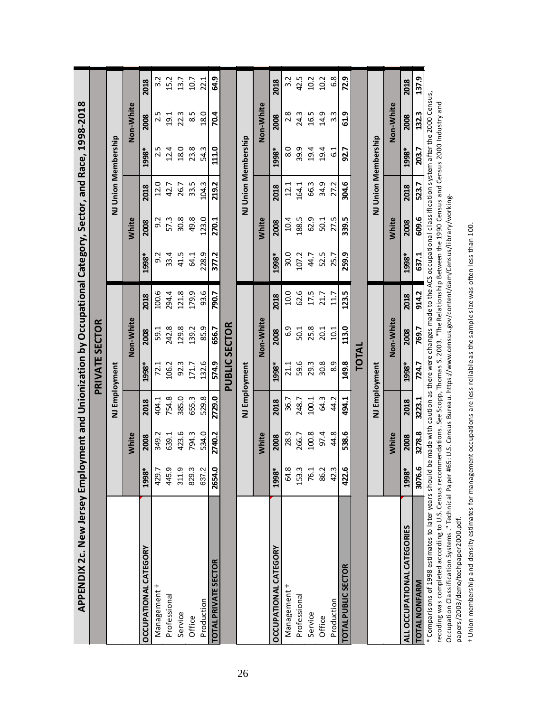| APPENDIX 2c. New Jersey Employment and Unionization by Occupational Category, Sector, and Race, 1998-2018                                                          |        |              |        |                       |           |       |                                                                                                                      |              |       |                     |               |       |
|--------------------------------------------------------------------------------------------------------------------------------------------------------------------|--------|--------------|--------|-----------------------|-----------|-------|----------------------------------------------------------------------------------------------------------------------|--------------|-------|---------------------|---------------|-------|
|                                                                                                                                                                    |        |              |        | <b>PRIVATE SECTOR</b> |           |       |                                                                                                                      |              |       |                     |               |       |
|                                                                                                                                                                    |        |              |        | NJ Employment         |           |       |                                                                                                                      |              |       | NJ Union Membership |               |       |
|                                                                                                                                                                    |        | White        |        |                       | Non-White |       |                                                                                                                      | White        |       |                     | Non-White     |       |
| <b>OCCUPATIONAL CATEGORY</b>                                                                                                                                       | 1998*  | 2008         | 2018   | 1998*                 | 2008      | 2018  | 1998*                                                                                                                | 2008         | 2018  | 1998*               | 2008          | 2018  |
| Management t                                                                                                                                                       | 429.7  | 349.2        | 404.1  | 72.1                  | 59.1      | 100.6 | 9.2                                                                                                                  | 9.2          | 12.0  | 2.5                 | 2.5           | 3.2   |
| Professional                                                                                                                                                       | 445.9  | 639.1        | 754.8  | 106.2                 | 242.8     | 294.4 | 33.4                                                                                                                 | 57.3         | 42.7  | 12.4                | 19.1          | 15.2  |
| Service                                                                                                                                                            | 311.9  | 423.6        | 385.0  | 92.3                  | 129.8     | 121.8 | 41.5                                                                                                                 | 30.8         | 26.7  | 18.0                | 22.3          | 13.7  |
| Office                                                                                                                                                             | 829.3  | 794.3        | 655.3  | 171.7                 | 139.2     | 179.9 | 64.1                                                                                                                 | 49.8         | 33.5  | 23.8                | $\frac{5}{8}$ | 10.7  |
| Production                                                                                                                                                         | 637.2  | 534.0        | 529.8  | 132.6                 | 85.9      | 93.6  | 228.9                                                                                                                | 123.0        | 104.3 | 54.3                | 18.0          | 22.1  |
| TOTAL PRIVATE SECTOR                                                                                                                                               | 2654.0 | 2740.2       | 2729.0 | 574.9                 | 656.7     | 790.7 | 377.2                                                                                                                | 270.1        | 219.2 | 111.0               | 70.4          | 64.9  |
|                                                                                                                                                                    |        |              |        | <b>PUBLIC SECTOR</b>  |           |       |                                                                                                                      |              |       |                     |               |       |
|                                                                                                                                                                    |        |              |        | NJ Employment         |           |       |                                                                                                                      |              |       | NJ Union Membership |               |       |
|                                                                                                                                                                    |        | <b>White</b> |        |                       | Non-White |       |                                                                                                                      | <b>White</b> |       |                     | Non-White     |       |
| <b>OCCUPATIONAL CATEGORY</b>                                                                                                                                       | 1998*  | 2008         | 2018   | 1998*                 | 2008      | 2018  | 1998*                                                                                                                | 2008         | 2018  | 1998*               | 2008          | 2018  |
| Management                                                                                                                                                         | 64.8   | 28.9         | 36.7   | 21.1                  | 6.9       | 10.0  | 30.0                                                                                                                 | 10.4         | 12.1  | o.                  | 2.8           | 3.2   |
| Professional                                                                                                                                                       | 153.3  | 266.7        | 248.7  | 59.6                  | 50.1      | 62.6  | 107.2                                                                                                                | 188.5        | 164.1 | 39.9                | 24.3          | 42.5  |
| Service                                                                                                                                                            | 76.1   | 100.8        | 100.1  | 29.3                  | 25.8      | 17.5  | 44.7                                                                                                                 | 62.9         | 66.3  | 19.4                | 16.5          | 10.2  |
| Office                                                                                                                                                             | 86.2   | 97.4         | 64.3   | 30.8                  | 20.1      | 21.7  | 52.5                                                                                                                 | 50.1         | 34.9  | 19.4                | 14.9          | 10.2  |
| Production                                                                                                                                                         | 42.3   | 44.8         | 44.2   | 8.9                   | 10.1      | 11.7  | 25.7                                                                                                                 | 27.5         | 27.2  | $\frac{1}{6}$       | 3.3           | 6.8   |
| TOTAL PUBLIC SECTOR                                                                                                                                                | 422.   | 538.6        | 494.1  | 149.8                 | 113.0     | 123.5 | 259.9                                                                                                                | 339.5        | 304.6 | 92.7                | 61.9          | 72.9  |
|                                                                                                                                                                    |        |              |        | <b>TOTAL</b>          |           |       |                                                                                                                      |              |       |                     |               |       |
|                                                                                                                                                                    |        |              |        | NJ Employment         |           |       |                                                                                                                      |              |       | NJ Union Membership |               |       |
|                                                                                                                                                                    |        | White        |        |                       | Non-White |       |                                                                                                                      | <b>White</b> |       |                     | Non-White     |       |
| ALL OCCUPATIONAL CATEGORIES                                                                                                                                        | 1998*  | 2008         | 2018   | 1998*                 | 2008      | 2018  | 1998*                                                                                                                | 2008         | 2018  | 1998*               | 2008          | 2018  |
| <b>TOTAL NONFARM</b>                                                                                                                                               | 3076.6 | 3278.8       | 3223.1 | 724.7                 | 769.7     | 914.2 | 637.1                                                                                                                | 609.6        | 523.7 | 203.7               | 132.3         | 137.9 |
| * Comparisons of 1998 estimates to later years should                                                                                                              |        |              |        |                       |           |       | be made with caution as there were changes made to the ACS occupational classification system after the 2000 Census, |              |       |                     |               |       |
| recoding was completed according to U.S. Census recommendations. See Scopp, Thomas S. 2003. "The Relationship Between the 1990 Census and Census 2000 Industry and |        |              |        |                       |           |       |                                                                                                                      |              |       |                     |               |       |
| Occupation Classification Systems ." Technical Paper #65: U.S. Census Bureau. https://www.census.gov/content/dam/Census/library/working-                           |        |              |        |                       |           |       |                                                                                                                      |              |       |                     |               |       |

t Union membership and density estimates for management occupations are less reliable as the sample size was often less than 100. † Union membership and density estimates for management occupations are less reliable as the sample size was often less than 100. papers/2003/demo/techpaper2000.pdf. papers/2003/demo/techpaper2000.pdf.